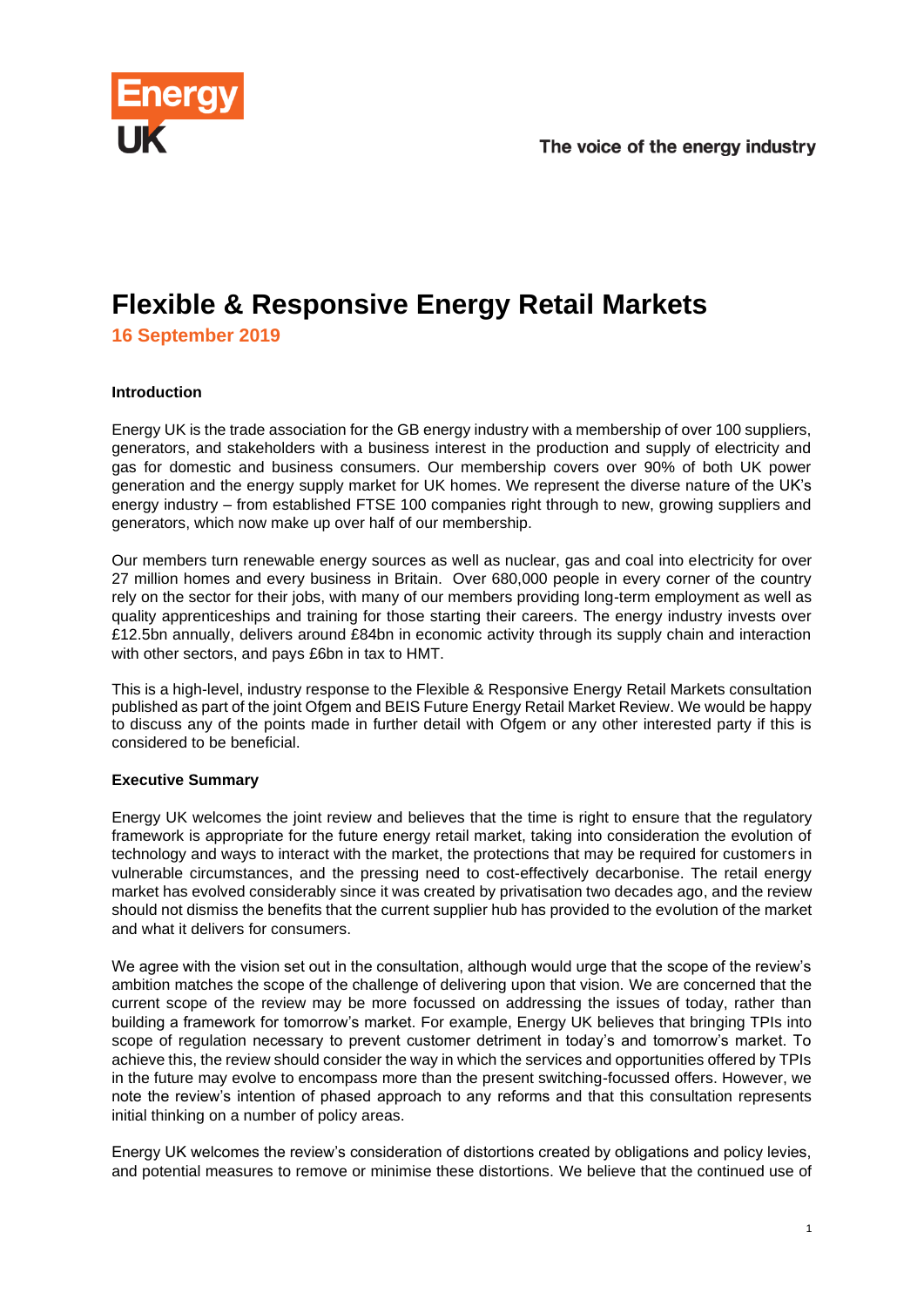

## **Flexible & Responsive Energy Retail Markets 16 September 2019**

## **Introduction**

Energy UK is the trade association for the GB energy industry with a membership of over 100 suppliers, generators, and stakeholders with a business interest in the production and supply of electricity and gas for domestic and business consumers. Our membership covers over 90% of both UK power generation and the energy supply market for UK homes. We represent the diverse nature of the UK's energy industry – from established FTSE 100 companies right through to new, growing suppliers and generators, which now make up over half of our membership.

Our members turn renewable energy sources as well as nuclear, gas and coal into electricity for over 27 million homes and every business in Britain. Over 680,000 people in every corner of the country rely on the sector for their jobs, with many of our members providing long-term employment as well as quality apprenticeships and training for those starting their careers. The energy industry invests over £12.5bn annually, delivers around £84bn in economic activity through its supply chain and interaction with other sectors, and pays £6bn in tax to HMT.

This is a high-level, industry response to the Flexible & Responsive Energy Retail Markets consultation published as part of the joint Ofgem and BEIS Future Energy Retail Market Review. We would be happy to discuss any of the points made in further detail with Ofgem or any other interested party if this is considered to be beneficial.

### **Executive Summary**

Energy UK welcomes the joint review and believes that the time is right to ensure that the regulatory framework is appropriate for the future energy retail market, taking into consideration the evolution of technology and ways to interact with the market, the protections that may be required for customers in vulnerable circumstances, and the pressing need to cost-effectively decarbonise. The retail energy market has evolved considerably since it was created by privatisation two decades ago, and the review should not dismiss the benefits that the current supplier hub has provided to the evolution of the market and what it delivers for consumers.

We agree with the vision set out in the consultation, although would urge that the scope of the review's ambition matches the scope of the challenge of delivering upon that vision. We are concerned that the current scope of the review may be more focussed on addressing the issues of today, rather than building a framework for tomorrow's market. For example, Energy UK believes that bringing TPIs into scope of regulation necessary to prevent customer detriment in today's and tomorrow's market. To achieve this, the review should consider the way in which the services and opportunities offered by TPIs in the future may evolve to encompass more than the present switching-focussed offers. However, we note the review's intention of phased approach to any reforms and that this consultation represents initial thinking on a number of policy areas.

Energy UK welcomes the review's consideration of distortions created by obligations and policy levies, and potential measures to remove or minimise these distortions. We believe that the continued use of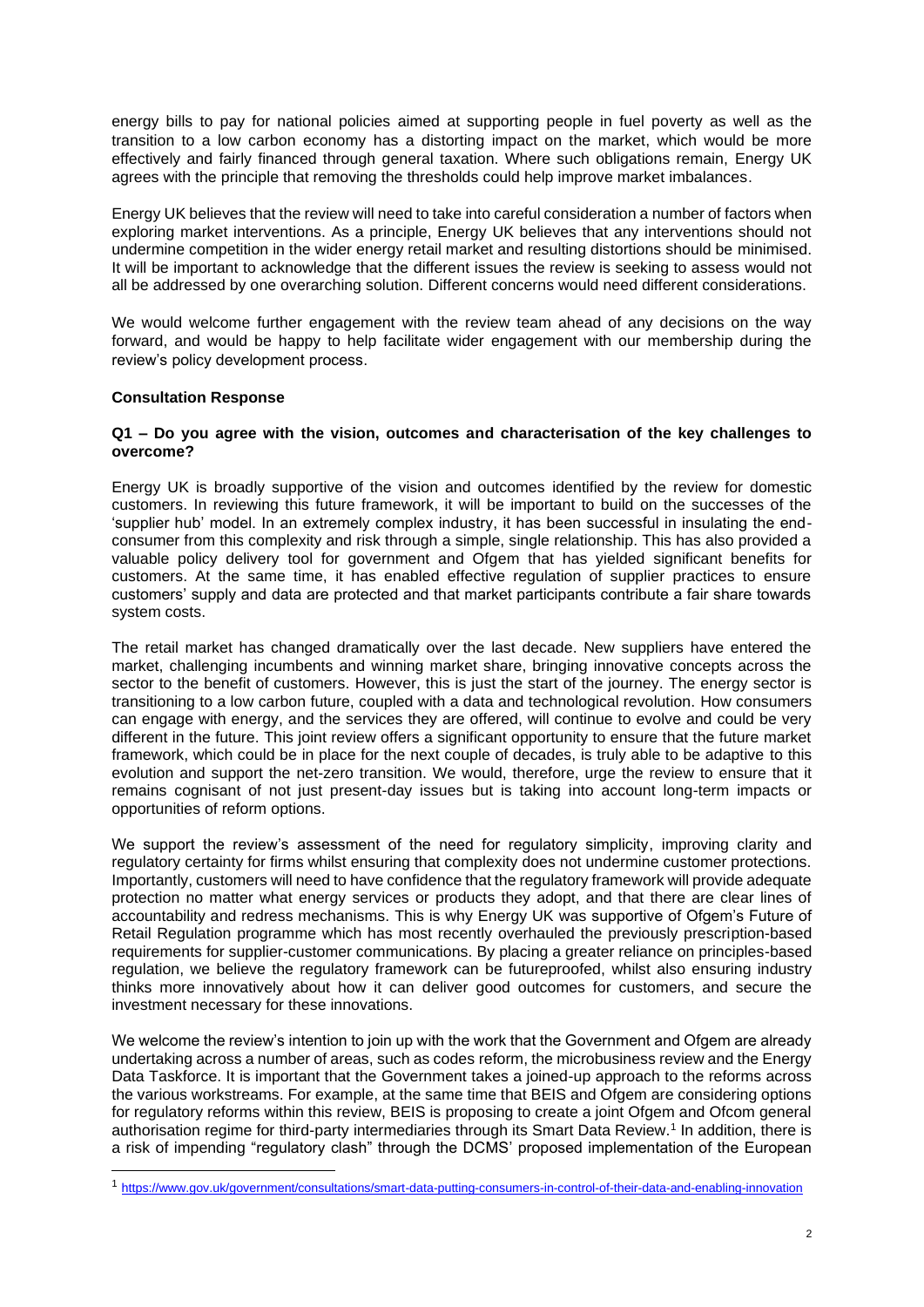energy bills to pay for national policies aimed at supporting people in fuel poverty as well as the transition to a low carbon economy has a distorting impact on the market, which would be more effectively and fairly financed through general taxation. Where such obligations remain, Energy UK agrees with the principle that removing the thresholds could help improve market imbalances.

Energy UK believes that the review will need to take into careful consideration a number of factors when exploring market interventions. As a principle, Energy UK believes that any interventions should not undermine competition in the wider energy retail market and resulting distortions should be minimised. It will be important to acknowledge that the different issues the review is seeking to assess would not all be addressed by one overarching solution. Different concerns would need different considerations.

We would welcome further engagement with the review team ahead of any decisions on the way forward, and would be happy to help facilitate wider engagement with our membership during the review's policy development process.

### **Consultation Response**

### **Q1 – Do you agree with the vision, outcomes and characterisation of the key challenges to overcome?**

Energy UK is broadly supportive of the vision and outcomes identified by the review for domestic customers. In reviewing this future framework, it will be important to build on the successes of the 'supplier hub' model. In an extremely complex industry, it has been successful in insulating the endconsumer from this complexity and risk through a simple, single relationship. This has also provided a valuable policy delivery tool for government and Ofgem that has yielded significant benefits for customers. At the same time, it has enabled effective regulation of supplier practices to ensure customers' supply and data are protected and that market participants contribute a fair share towards system costs.

The retail market has changed dramatically over the last decade. New suppliers have entered the market, challenging incumbents and winning market share, bringing innovative concepts across the sector to the benefit of customers. However, this is just the start of the journey. The energy sector is transitioning to a low carbon future, coupled with a data and technological revolution. How consumers can engage with energy, and the services they are offered, will continue to evolve and could be very different in the future. This joint review offers a significant opportunity to ensure that the future market framework, which could be in place for the next couple of decades, is truly able to be adaptive to this evolution and support the net-zero transition. We would, therefore, urge the review to ensure that it remains cognisant of not just present-day issues but is taking into account long-term impacts or opportunities of reform options.

We support the review's assessment of the need for regulatory simplicity, improving clarity and regulatory certainty for firms whilst ensuring that complexity does not undermine customer protections. Importantly, customers will need to have confidence that the regulatory framework will provide adequate protection no matter what energy services or products they adopt, and that there are clear lines of accountability and redress mechanisms. This is why Energy UK was supportive of Ofgem's Future of Retail Regulation programme which has most recently overhauled the previously prescription-based requirements for supplier-customer communications. By placing a greater reliance on principles-based regulation, we believe the regulatory framework can be futureproofed, whilst also ensuring industry thinks more innovatively about how it can deliver good outcomes for customers, and secure the investment necessary for these innovations.

We welcome the review's intention to join up with the work that the Government and Ofgem are already undertaking across a number of areas, such as codes reform, the microbusiness review and the Energy Data Taskforce. It is important that the Government takes a joined-up approach to the reforms across the various workstreams. For example, at the same time that BEIS and Ofgem are considering options for regulatory reforms within this review, BEIS is proposing to create a joint Ofgem and Ofcom general authorisation regime for third-party intermediaries through its Smart Data Review.<sup>1</sup> In addition, there is a risk of impending "regulatory clash" through the DCMS' proposed implementation of the European

<sup>1</sup> <https://www.gov.uk/government/consultations/smart-data-putting-consumers-in-control-of-their-data-and-enabling-innovation>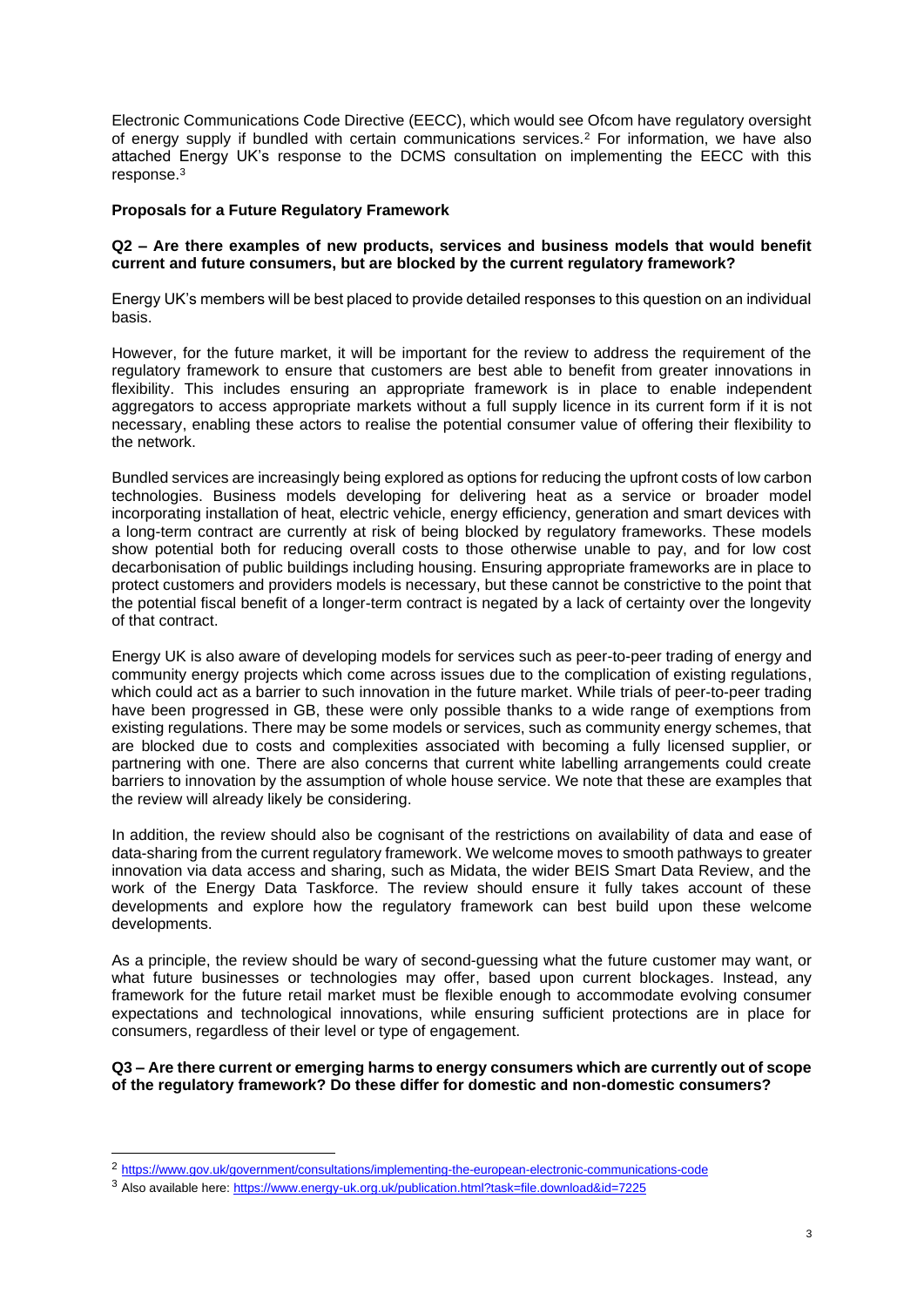Electronic Communications Code Directive (EECC), which would see Ofcom have regulatory oversight of energy supply if bundled with certain communications services.<sup>2</sup> For information, we have also attached Energy UK's response to the DCMS consultation on implementing the EECC with this response.<sup>3</sup>

### **Proposals for a Future Regulatory Framework**

### **Q2 – Are there examples of new products, services and business models that would benefit current and future consumers, but are blocked by the current regulatory framework?**

Energy UK's members will be best placed to provide detailed responses to this question on an individual basis.

However, for the future market, it will be important for the review to address the requirement of the regulatory framework to ensure that customers are best able to benefit from greater innovations in flexibility. This includes ensuring an appropriate framework is in place to enable independent aggregators to access appropriate markets without a full supply licence in its current form if it is not necessary, enabling these actors to realise the potential consumer value of offering their flexibility to the network.

Bundled services are increasingly being explored as options for reducing the upfront costs of low carbon technologies. Business models developing for delivering heat as a service or broader model incorporating installation of heat, electric vehicle, energy efficiency, generation and smart devices with a long-term contract are currently at risk of being blocked by regulatory frameworks. These models show potential both for reducing overall costs to those otherwise unable to pay, and for low cost decarbonisation of public buildings including housing. Ensuring appropriate frameworks are in place to protect customers and providers models is necessary, but these cannot be constrictive to the point that the potential fiscal benefit of a longer-term contract is negated by a lack of certainty over the longevity of that contract.

Energy UK is also aware of developing models for services such as peer-to-peer trading of energy and community energy projects which come across issues due to the complication of existing regulations, which could act as a barrier to such innovation in the future market. While trials of peer-to-peer trading have been progressed in GB, these were only possible thanks to a wide range of exemptions from existing regulations. There may be some models or services, such as community energy schemes, that are blocked due to costs and complexities associated with becoming a fully licensed supplier, or partnering with one. There are also concerns that current white labelling arrangements could create barriers to innovation by the assumption of whole house service. We note that these are examples that the review will already likely be considering.

In addition, the review should also be cognisant of the restrictions on availability of data and ease of data-sharing from the current regulatory framework. We welcome moves to smooth pathways to greater innovation via data access and sharing, such as Midata, the wider BEIS Smart Data Review, and the work of the Energy Data Taskforce. The review should ensure it fully takes account of these developments and explore how the regulatory framework can best build upon these welcome developments.

As a principle, the review should be wary of second-guessing what the future customer may want, or what future businesses or technologies may offer, based upon current blockages. Instead, any framework for the future retail market must be flexible enough to accommodate evolving consumer expectations and technological innovations, while ensuring sufficient protections are in place for consumers, regardless of their level or type of engagement.

### **Q3 – Are there current or emerging harms to energy consumers which are currently out of scope of the regulatory framework? Do these differ for domestic and non-domestic consumers?**

<sup>2</sup> <https://www.gov.uk/government/consultations/implementing-the-european-electronic-communications-code>

<sup>3</sup> Also available here[: https://www.energy-uk.org.uk/publication.html?task=file.download&id=7225](https://www.energy-uk.org.uk/publication.html?task=file.download&id=7225)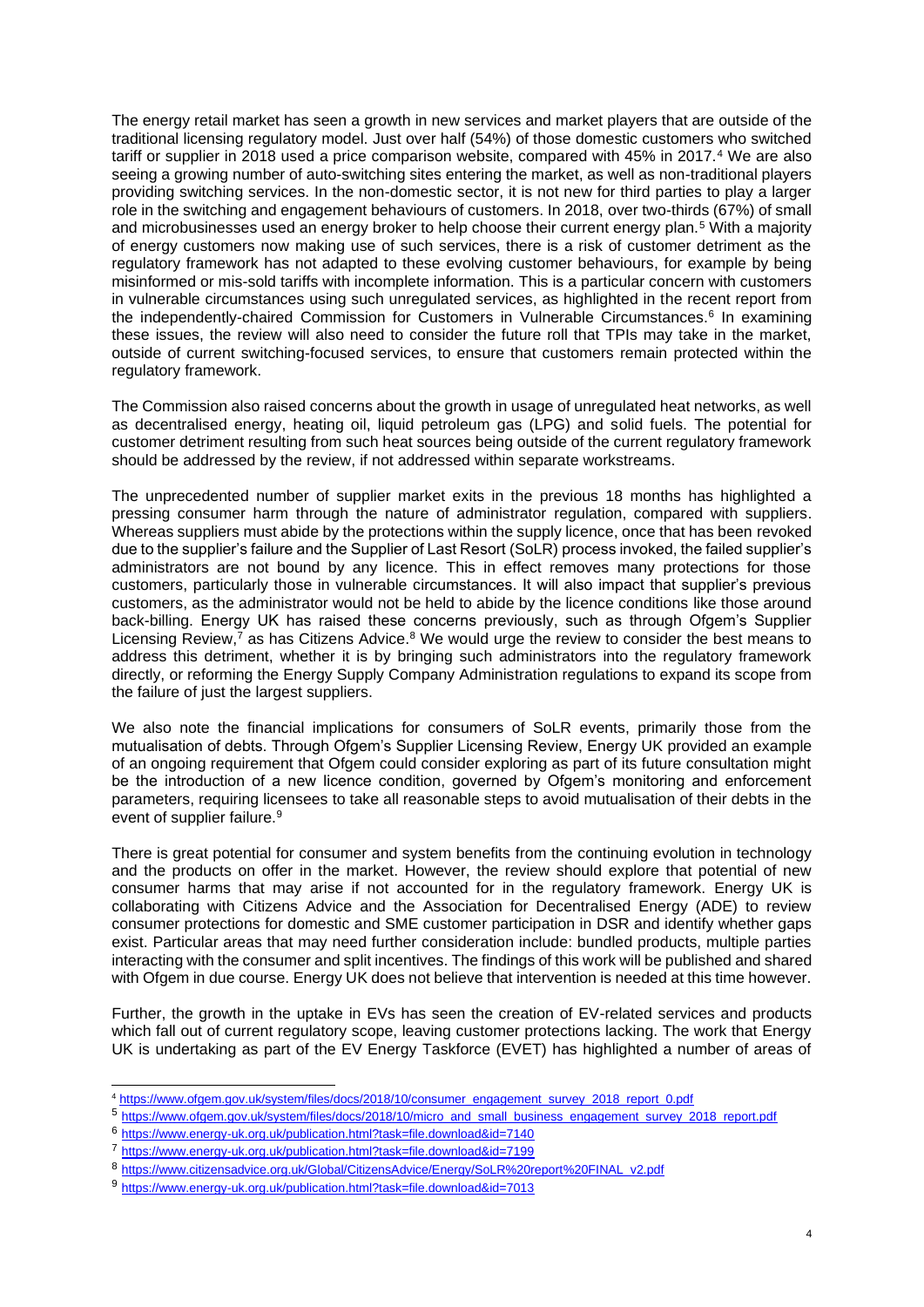The energy retail market has seen a growth in new services and market players that are outside of the traditional licensing regulatory model. Just over half (54%) of those domestic customers who switched tariff or supplier in 2018 used a price comparison website, compared with 45% in 2017.<sup>4</sup> We are also seeing a growing number of auto-switching sites entering the market, as well as non-traditional players providing switching services. In the non-domestic sector, it is not new for third parties to play a larger role in the switching and engagement behaviours of customers. In 2018, over two-thirds (67%) of small and microbusinesses used an energy broker to help choose their current energy plan.<sup>5</sup> With a majority of energy customers now making use of such services, there is a risk of customer detriment as the regulatory framework has not adapted to these evolving customer behaviours, for example by being misinformed or mis-sold tariffs with incomplete information. This is a particular concern with customers in vulnerable circumstances using such unregulated services, as highlighted in the recent report from the independently-chaired Commission for Customers in Vulnerable Circumstances.<sup>6</sup> In examining these issues, the review will also need to consider the future roll that TPIs may take in the market, outside of current switching-focused services, to ensure that customers remain protected within the regulatory framework.

The Commission also raised concerns about the growth in usage of unregulated heat networks, as well as decentralised energy, heating oil, liquid petroleum gas (LPG) and solid fuels. The potential for customer detriment resulting from such heat sources being outside of the current regulatory framework should be addressed by the review, if not addressed within separate workstreams.

The unprecedented number of supplier market exits in the previous 18 months has highlighted a pressing consumer harm through the nature of administrator regulation, compared with suppliers. Whereas suppliers must abide by the protections within the supply licence, once that has been revoked due to the supplier's failure and the Supplier of Last Resort (SoLR) process invoked, the failed supplier's administrators are not bound by any licence. This in effect removes many protections for those customers, particularly those in vulnerable circumstances. It will also impact that supplier's previous customers, as the administrator would not be held to abide by the licence conditions like those around back-billing. Energy UK has raised these concerns previously, such as through Ofgem's Supplier Licensing Review,<sup>7</sup> as has Citizens Advice.<sup>8</sup> We would urge the review to consider the best means to address this detriment, whether it is by bringing such administrators into the regulatory framework directly, or reforming the Energy Supply Company Administration regulations to expand its scope from the failure of just the largest suppliers.

We also note the financial implications for consumers of SoLR events, primarily those from the mutualisation of debts. Through Ofgem's Supplier Licensing Review, Energy UK provided an example of an ongoing requirement that Ofgem could consider exploring as part of its future consultation might be the introduction of a new licence condition, governed by Ofgem's monitoring and enforcement parameters, requiring licensees to take all reasonable steps to avoid mutualisation of their debts in the event of supplier failure.<sup>9</sup>

There is great potential for consumer and system benefits from the continuing evolution in technology and the products on offer in the market. However, the review should explore that potential of new consumer harms that may arise if not accounted for in the regulatory framework. Energy UK is collaborating with Citizens Advice and the Association for Decentralised Energy (ADE) to review consumer protections for domestic and SME customer participation in DSR and identify whether gaps exist. Particular areas that may need further consideration include: bundled products, multiple parties interacting with the consumer and split incentives. The findings of this work will be published and shared with Ofgem in due course. Energy UK does not believe that intervention is needed at this time however.

Further, the growth in the uptake in EVs has seen the creation of EV-related services and products which fall out of current regulatory scope, leaving customer protections lacking. The work that Energy UK is undertaking as part of the EV Energy Taskforce (EVET) has highlighted a number of areas of

<sup>4</sup> [https://www.ofgem.gov.uk/system/files/docs/2018/10/consumer\\_engagement\\_survey\\_2018\\_report\\_0.pdf](https://www.ofgem.gov.uk/system/files/docs/2018/10/consumer_engagement_survey_2018_report_0.pdf)

<sup>5&</sup>lt;br>[https://www.ofgem.gov.uk/system/files/docs/2018/10/micro\\_and\\_small\\_business\\_engagement\\_survey\\_2018\\_report.pdf](https://www.ofgem.gov.uk/system/files/docs/2018/10/micro_and_small_business_engagement_survey_2018_report.pdf)

<sup>6</sup> <https://www.energy-uk.org.uk/publication.html?task=file.download&id=7140>

<sup>7</sup> <https://www.energy-uk.org.uk/publication.html?task=file.download&id=7199>

<sup>8</sup> [https://www.citizensadvice.org.uk/Global/CitizensAdvice/Energy/SoLR%20report%20FINAL\\_v2.pdf](https://www.citizensadvice.org.uk/Global/CitizensAdvice/Energy/SoLR%20report%20FINAL_v2.pdf)

<sup>9</sup> <https://www.energy-uk.org.uk/publication.html?task=file.download&id=7013>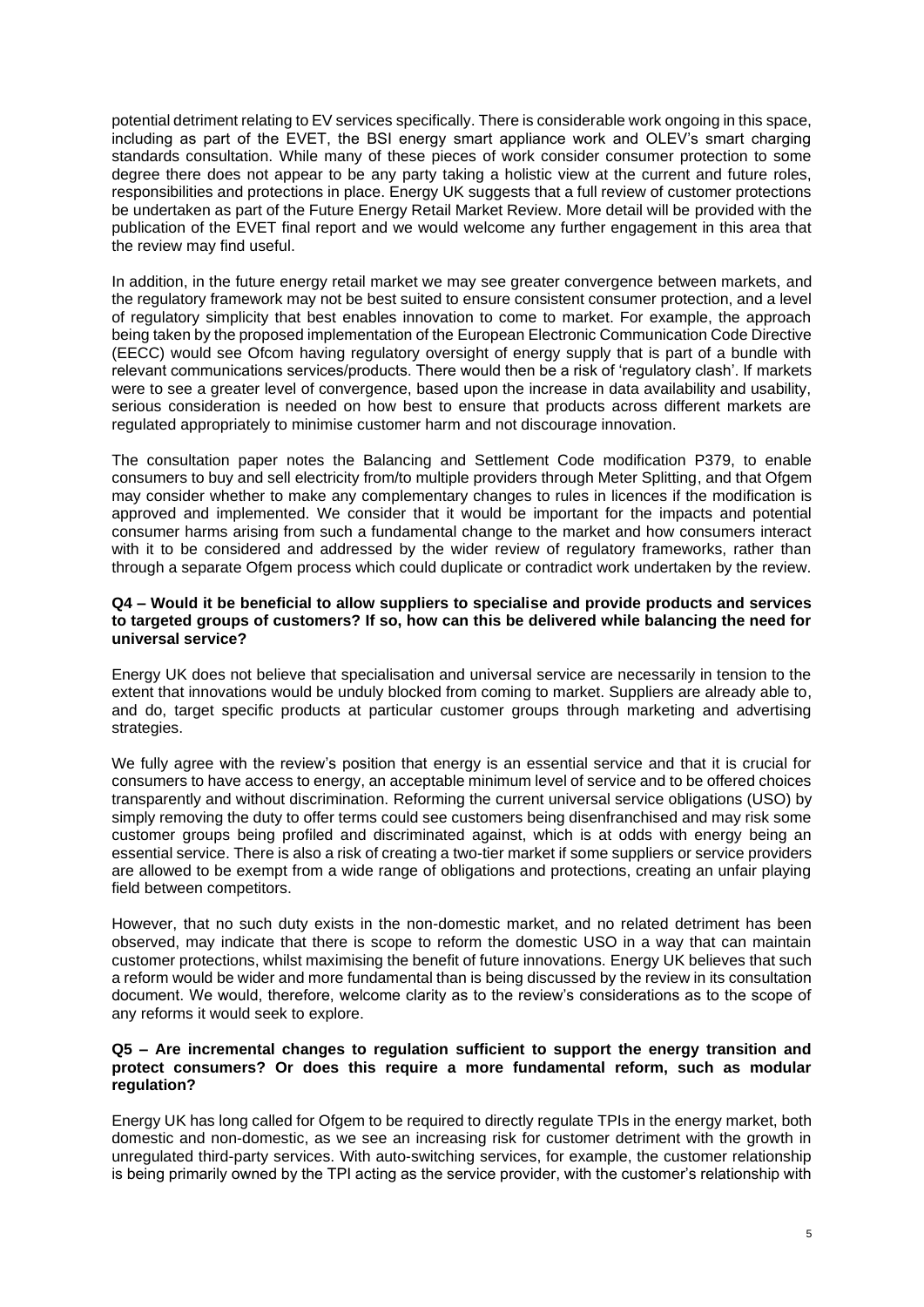potential detriment relating to EV services specifically. There is considerable work ongoing in this space, including as part of the EVET, the BSI energy smart appliance work and OLEV's smart charging standards consultation. While many of these pieces of work consider consumer protection to some degree there does not appear to be any party taking a holistic view at the current and future roles, responsibilities and protections in place. Energy UK suggests that a full review of customer protections be undertaken as part of the Future Energy Retail Market Review. More detail will be provided with the publication of the EVET final report and we would welcome any further engagement in this area that the review may find useful.

In addition, in the future energy retail market we may see greater convergence between markets, and the regulatory framework may not be best suited to ensure consistent consumer protection, and a level of regulatory simplicity that best enables innovation to come to market. For example, the approach being taken by the proposed implementation of the European Electronic Communication Code Directive (EECC) would see Ofcom having regulatory oversight of energy supply that is part of a bundle with relevant communications services/products. There would then be a risk of 'regulatory clash'. If markets were to see a greater level of convergence, based upon the increase in data availability and usability, serious consideration is needed on how best to ensure that products across different markets are regulated appropriately to minimise customer harm and not discourage innovation.

The consultation paper notes the Balancing and Settlement Code modification P379, to enable consumers to buy and sell electricity from/to multiple providers through Meter Splitting, and that Ofgem may consider whether to make any complementary changes to rules in licences if the modification is approved and implemented. We consider that it would be important for the impacts and potential consumer harms arising from such a fundamental change to the market and how consumers interact with it to be considered and addressed by the wider review of regulatory frameworks, rather than through a separate Ofgem process which could duplicate or contradict work undertaken by the review.

### **Q4 – Would it be beneficial to allow suppliers to specialise and provide products and services to targeted groups of customers? If so, how can this be delivered while balancing the need for universal service?**

Energy UK does not believe that specialisation and universal service are necessarily in tension to the extent that innovations would be unduly blocked from coming to market. Suppliers are already able to, and do, target specific products at particular customer groups through marketing and advertising strategies.

We fully agree with the review's position that energy is an essential service and that it is crucial for consumers to have access to energy, an acceptable minimum level of service and to be offered choices transparently and without discrimination. Reforming the current universal service obligations (USO) by simply removing the duty to offer terms could see customers being disenfranchised and may risk some customer groups being profiled and discriminated against, which is at odds with energy being an essential service. There is also a risk of creating a two-tier market if some suppliers or service providers are allowed to be exempt from a wide range of obligations and protections, creating an unfair playing field between competitors.

However, that no such duty exists in the non-domestic market, and no related detriment has been observed, may indicate that there is scope to reform the domestic USO in a way that can maintain customer protections, whilst maximising the benefit of future innovations. Energy UK believes that such a reform would be wider and more fundamental than is being discussed by the review in its consultation document. We would, therefore, welcome clarity as to the review's considerations as to the scope of any reforms it would seek to explore.

### **Q5 – Are incremental changes to regulation sufficient to support the energy transition and protect consumers? Or does this require a more fundamental reform, such as modular regulation?**

Energy UK has long called for Ofgem to be required to directly regulate TPIs in the energy market, both domestic and non-domestic, as we see an increasing risk for customer detriment with the growth in unregulated third-party services. With auto-switching services, for example, the customer relationship is being primarily owned by the TPI acting as the service provider, with the customer's relationship with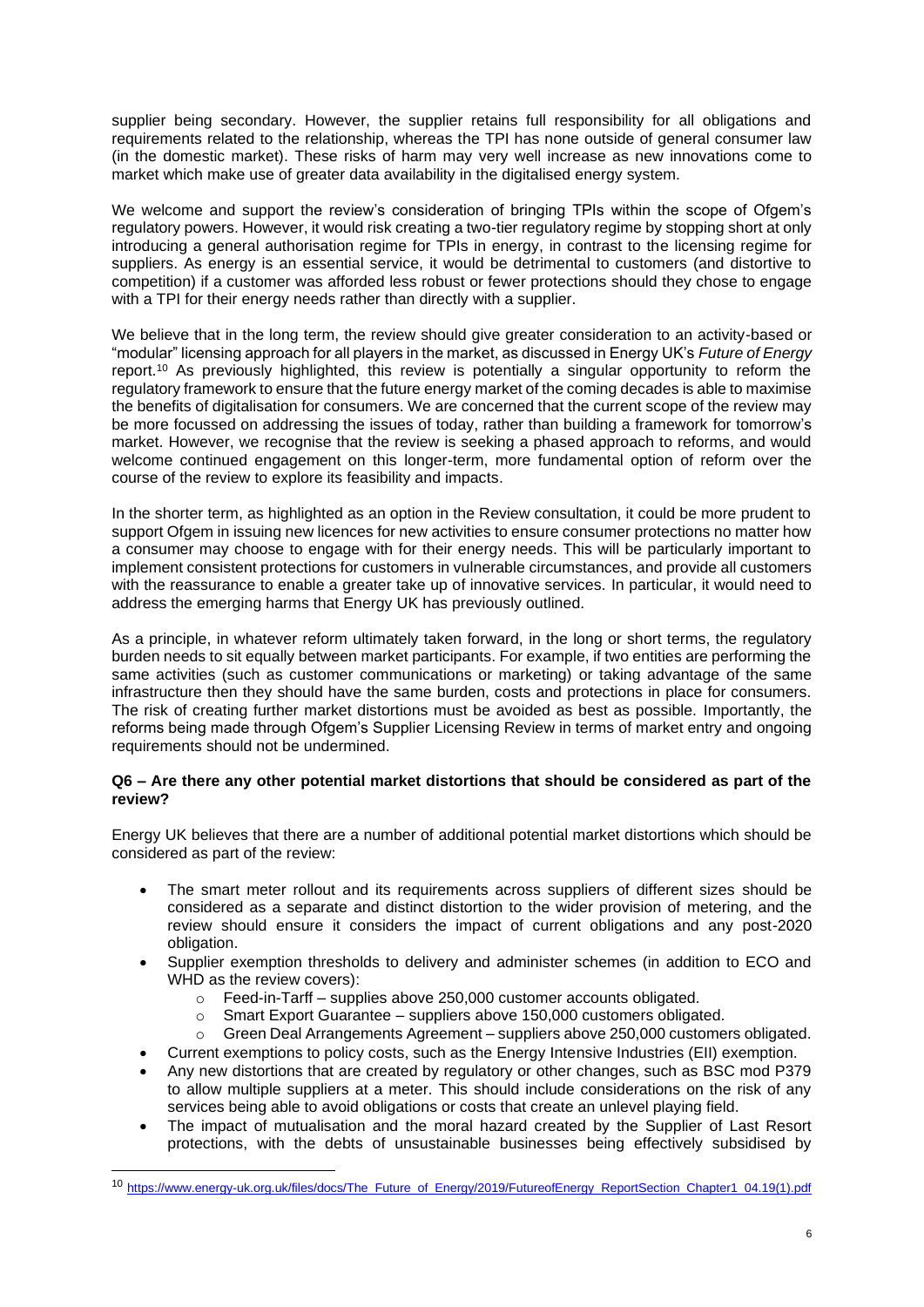supplier being secondary. However, the supplier retains full responsibility for all obligations and requirements related to the relationship, whereas the TPI has none outside of general consumer law (in the domestic market). These risks of harm may very well increase as new innovations come to market which make use of greater data availability in the digitalised energy system.

We welcome and support the review's consideration of bringing TPIs within the scope of Ofgem's regulatory powers. However, it would risk creating a two-tier regulatory regime by stopping short at only introducing a general authorisation regime for TPIs in energy, in contrast to the licensing regime for suppliers. As energy is an essential service, it would be detrimental to customers (and distortive to competition) if a customer was afforded less robust or fewer protections should they chose to engage with a TPI for their energy needs rather than directly with a supplier.

We believe that in the long term, the review should give greater consideration to an activity-based or "modular" licensing approach for all players in the market, as discussed in Energy UK's *Future of Energy* report.<sup>10</sup> As previously highlighted, this review is potentially a singular opportunity to reform the regulatory framework to ensure that the future energy market of the coming decades is able to maximise the benefits of digitalisation for consumers. We are concerned that the current scope of the review may be more focussed on addressing the issues of today, rather than building a framework for tomorrow's market. However, we recognise that the review is seeking a phased approach to reforms, and would welcome continued engagement on this longer-term, more fundamental option of reform over the course of the review to explore its feasibility and impacts.

In the shorter term, as highlighted as an option in the Review consultation, it could be more prudent to support Ofgem in issuing new licences for new activities to ensure consumer protections no matter how a consumer may choose to engage with for their energy needs. This will be particularly important to implement consistent protections for customers in vulnerable circumstances, and provide all customers with the reassurance to enable a greater take up of innovative services. In particular, it would need to address the emerging harms that Energy UK has previously outlined.

As a principle, in whatever reform ultimately taken forward, in the long or short terms, the regulatory burden needs to sit equally between market participants. For example, if two entities are performing the same activities (such as customer communications or marketing) or taking advantage of the same infrastructure then they should have the same burden, costs and protections in place for consumers. The risk of creating further market distortions must be avoided as best as possible. Importantly, the reforms being made through Ofgem's Supplier Licensing Review in terms of market entry and ongoing requirements should not be undermined.

### **Q6 – Are there any other potential market distortions that should be considered as part of the review?**

Energy UK believes that there are a number of additional potential market distortions which should be considered as part of the review:

- The smart meter rollout and its requirements across suppliers of different sizes should be considered as a separate and distinct distortion to the wider provision of metering, and the review should ensure it considers the impact of current obligations and any post-2020 obligation.
- Supplier exemption thresholds to delivery and administer schemes (in addition to ECO and WHD as the review covers):
	- $\circ$  Feed-in-Tarff supplies above 250,000 customer accounts obligated.
	- o Smart Export Guarantee suppliers above 150,000 customers obligated.
	- o Green Deal Arrangements Agreement suppliers above 250,000 customers obligated.
- Current exemptions to policy costs, such as the Energy Intensive Industries (EII) exemption. • Any new distortions that are created by regulatory or other changes, such as BSC mod P379
- to allow multiple suppliers at a meter. This should include considerations on the risk of any services being able to avoid obligations or costs that create an unlevel playing field.
- The impact of mutualisation and the moral hazard created by the Supplier of Last Resort protections, with the debts of unsustainable businesses being effectively subsidised by

<sup>10</sup> [https://www.energy-uk.org.uk/files/docs/The\\_Future\\_of\\_Energy/2019/FutureofEnergy\\_ReportSection\\_Chapter1\\_04.19\(1\).pdf](https://www.energy-uk.org.uk/files/docs/The_Future_of_Energy/2019/FutureofEnergy_ReportSection_Chapter1_04.19(1).pdf)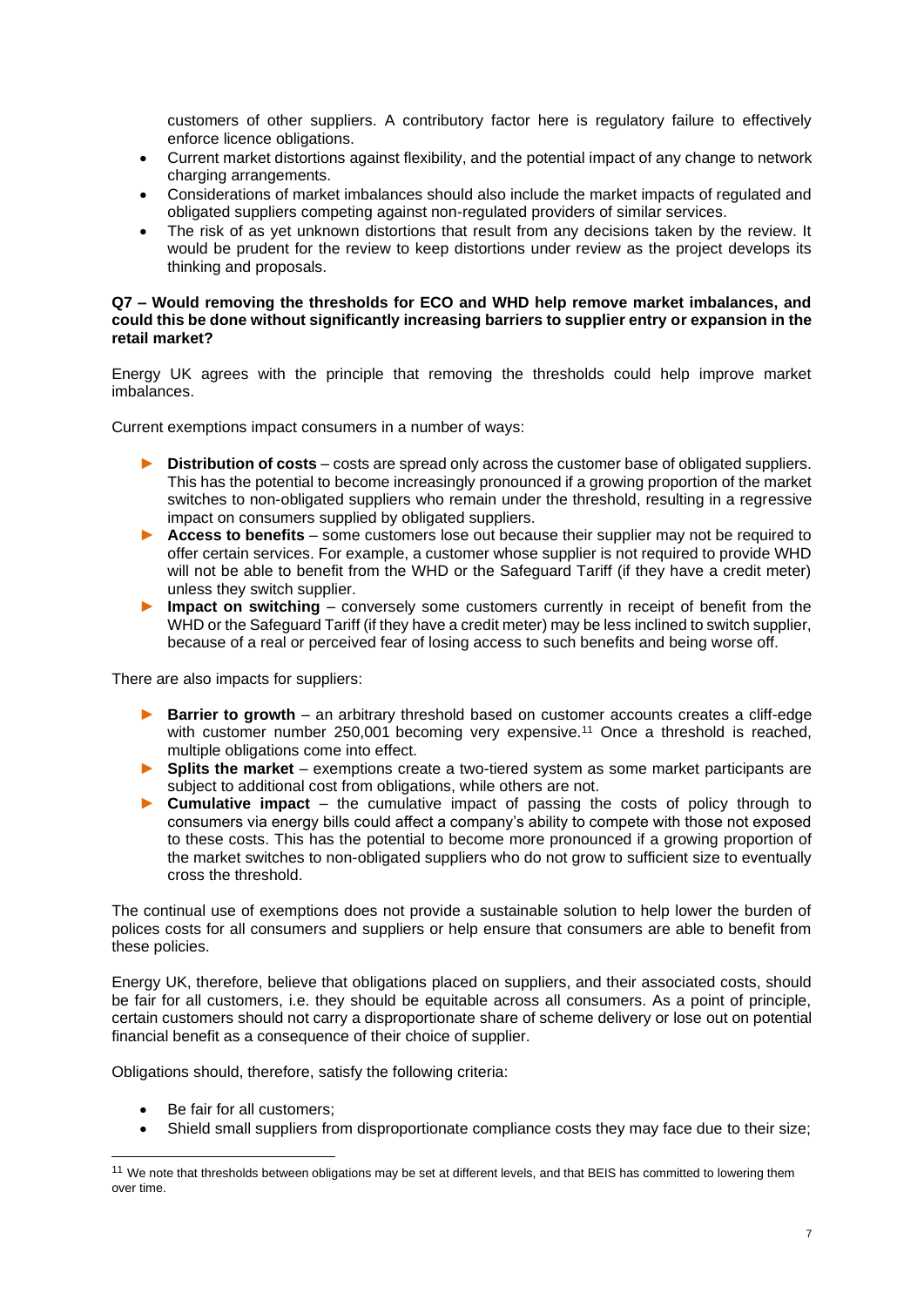customers of other suppliers. A contributory factor here is regulatory failure to effectively enforce licence obligations.

- Current market distortions against flexibility, and the potential impact of any change to network charging arrangements.
- Considerations of market imbalances should also include the market impacts of regulated and obligated suppliers competing against non-regulated providers of similar services.
- The risk of as yet unknown distortions that result from any decisions taken by the review. It would be prudent for the review to keep distortions under review as the project develops its thinking and proposals.

### **Q7 – Would removing the thresholds for ECO and WHD help remove market imbalances, and could this be done without significantly increasing barriers to supplier entry or expansion in the retail market?**

Energy UK agrees with the principle that removing the thresholds could help improve market imbalances.

Current exemptions impact consumers in a number of ways:

- ► **Distribution of costs** costs are spread only across the customer base of obligated suppliers. This has the potential to become increasingly pronounced if a growing proportion of the market switches to non-obligated suppliers who remain under the threshold, resulting in a regressive impact on consumers supplied by obligated suppliers.
- ► **Access to benefits** some customers lose out because their supplier may not be required to offer certain services. For example, a customer whose supplier is not required to provide WHD will not be able to benefit from the WHD or the Safeguard Tariff (if they have a credit meter) unless they switch supplier.
- **Impact on switching** conversely some customers currently in receipt of benefit from the WHD or the Safeguard Tariff (if they have a credit meter) may be less inclined to switch supplier, because of a real or perceived fear of losing access to such benefits and being worse off.

There are also impacts for suppliers:

- ► **Barrier to growth** an arbitrary threshold based on customer accounts creates a cliff-edge with customer number 250,001 becoming very expensive.<sup>11</sup> Once a threshold is reached, multiple obligations come into effect.
- **Splits the market** exemptions create a two-tiered system as some market participants are subject to additional cost from obligations, while others are not.
- ► **Cumulative impact**  the cumulative impact of passing the costs of policy through to consumers via energy bills could affect a company's ability to compete with those not exposed to these costs. This has the potential to become more pronounced if a growing proportion of the market switches to non-obligated suppliers who do not grow to sufficient size to eventually cross the threshold.

The continual use of exemptions does not provide a sustainable solution to help lower the burden of polices costs for all consumers and suppliers or help ensure that consumers are able to benefit from these policies.

Energy UK, therefore, believe that obligations placed on suppliers, and their associated costs, should be fair for all customers, i.e. they should be equitable across all consumers. As a point of principle, certain customers should not carry a disproportionate share of scheme delivery or lose out on potential financial benefit as a consequence of their choice of supplier.

Obligations should, therefore, satisfy the following criteria:

- Be fair for all customers;
- Shield small suppliers from disproportionate compliance costs they may face due to their size;

<sup>&</sup>lt;sup>11</sup> We note that thresholds between obligations may be set at different levels, and that BEIS has committed to lowering them over time.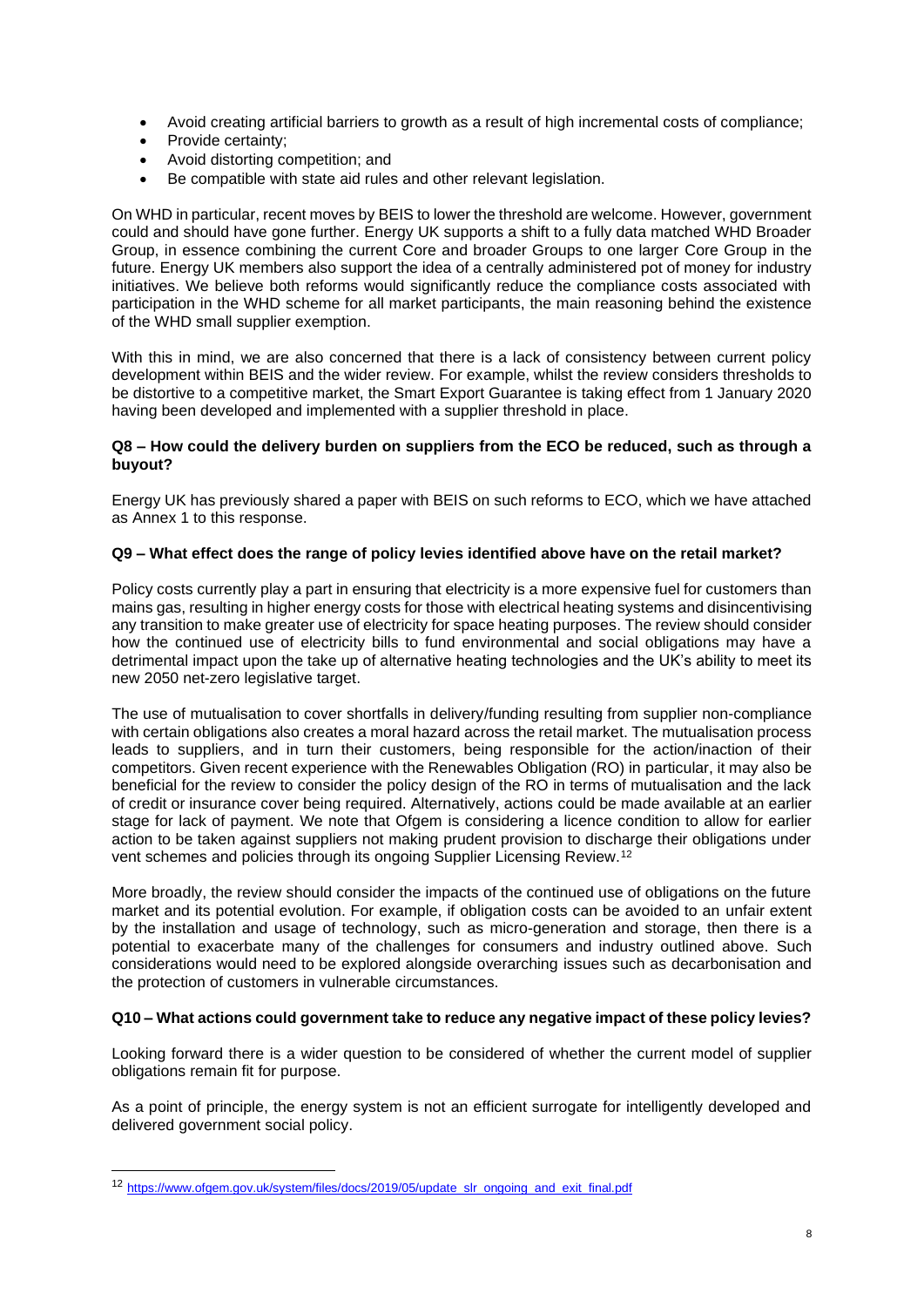- Avoid creating artificial barriers to growth as a result of high incremental costs of compliance;
- Provide certainty;
- Avoid distorting competition; and
- Be compatible with state aid rules and other relevant legislation.

On WHD in particular, recent moves by BEIS to lower the threshold are welcome. However, government could and should have gone further. Energy UK supports a shift to a fully data matched WHD Broader Group, in essence combining the current Core and broader Groups to one larger Core Group in the future. Energy UK members also support the idea of a centrally administered pot of money for industry initiatives. We believe both reforms would significantly reduce the compliance costs associated with participation in the WHD scheme for all market participants, the main reasoning behind the existence of the WHD small supplier exemption.

With this in mind, we are also concerned that there is a lack of consistency between current policy development within BEIS and the wider review. For example, whilst the review considers thresholds to be distortive to a competitive market, the Smart Export Guarantee is taking effect from 1 January 2020 having been developed and implemented with a supplier threshold in place.

### **Q8 – How could the delivery burden on suppliers from the ECO be reduced, such as through a buyout?**

Energy UK has previously shared a paper with BEIS on such reforms to ECO, which we have attached as Annex 1 to this response.

### **Q9 – What effect does the range of policy levies identified above have on the retail market?**

Policy costs currently play a part in ensuring that electricity is a more expensive fuel for customers than mains gas, resulting in higher energy costs for those with electrical heating systems and disincentivising any transition to make greater use of electricity for space heating purposes. The review should consider how the continued use of electricity bills to fund environmental and social obligations may have a detrimental impact upon the take up of alternative heating technologies and the UK's ability to meet its new 2050 net-zero legislative target.

The use of mutualisation to cover shortfalls in delivery/funding resulting from supplier non-compliance with certain obligations also creates a moral hazard across the retail market. The mutualisation process leads to suppliers, and in turn their customers, being responsible for the action/inaction of their competitors. Given recent experience with the Renewables Obligation (RO) in particular, it may also be beneficial for the review to consider the policy design of the RO in terms of mutualisation and the lack of credit or insurance cover being required. Alternatively, actions could be made available at an earlier stage for lack of payment. We note that Ofgem is considering a licence condition to allow for earlier action to be taken against suppliers not making prudent provision to discharge their obligations under vent schemes and policies through its ongoing Supplier Licensing Review.<sup>12</sup>

More broadly, the review should consider the impacts of the continued use of obligations on the future market and its potential evolution. For example, if obligation costs can be avoided to an unfair extent by the installation and usage of technology, such as micro-generation and storage, then there is a potential to exacerbate many of the challenges for consumers and industry outlined above. Such considerations would need to be explored alongside overarching issues such as decarbonisation and the protection of customers in vulnerable circumstances.

### **Q10 – What actions could government take to reduce any negative impact of these policy levies?**

Looking forward there is a wider question to be considered of whether the current model of supplier obligations remain fit for purpose.

As a point of principle, the energy system is not an efficient surrogate for intelligently developed and delivered government social policy.

<sup>12</sup> [https://www.ofgem.gov.uk/system/files/docs/2019/05/update\\_slr\\_ongoing\\_and\\_exit\\_final.pdf](https://www.ofgem.gov.uk/system/files/docs/2019/05/update_slr_ongoing_and_exit_final.pdf)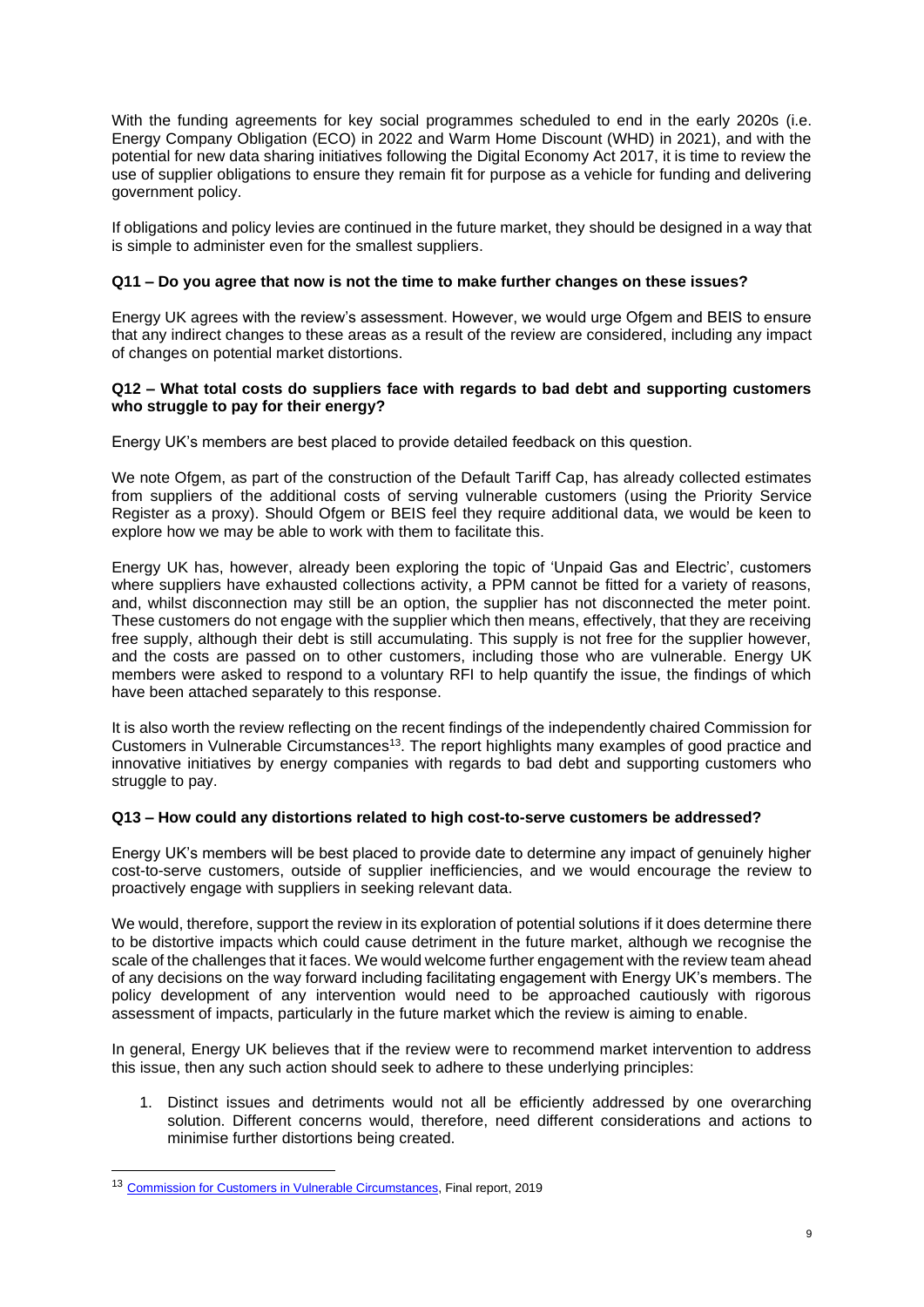With the funding agreements for key social programmes scheduled to end in the early 2020s (i.e. Energy Company Obligation (ECO) in 2022 and Warm Home Discount (WHD) in 2021), and with the potential for new data sharing initiatives following the Digital Economy Act 2017, it is time to review the use of supplier obligations to ensure they remain fit for purpose as a vehicle for funding and delivering government policy.

If obligations and policy levies are continued in the future market, they should be designed in a way that is simple to administer even for the smallest suppliers.

### **Q11 – Do you agree that now is not the time to make further changes on these issues?**

Energy UK agrees with the review's assessment. However, we would urge Ofgem and BEIS to ensure that any indirect changes to these areas as a result of the review are considered, including any impact of changes on potential market distortions.

### **Q12 – What total costs do suppliers face with regards to bad debt and supporting customers who struggle to pay for their energy?**

Energy UK's members are best placed to provide detailed feedback on this question.

We note Ofgem, as part of the construction of the Default Tariff Cap, has already collected estimates from suppliers of the additional costs of serving vulnerable customers (using the Priority Service Register as a proxy). Should Ofgem or BEIS feel they require additional data, we would be keen to explore how we may be able to work with them to facilitate this.

Energy UK has, however, already been exploring the topic of 'Unpaid Gas and Electric', customers where suppliers have exhausted collections activity, a PPM cannot be fitted for a variety of reasons, and, whilst disconnection may still be an option, the supplier has not disconnected the meter point. These customers do not engage with the supplier which then means, effectively, that they are receiving free supply, although their debt is still accumulating. This supply is not free for the supplier however, and the costs are passed on to other customers, including those who are vulnerable. Energy UK members were asked to respond to a voluntary RFI to help quantify the issue, the findings of which have been attached separately to this response.

It is also worth the review reflecting on the recent findings of the independently chaired Commission for Customers in Vulnerable Circumstances<sup>13</sup>. The report highlights many examples of good practice and innovative initiatives by energy companies with regards to bad debt and supporting customers who struggle to pay.

### **Q13 – How could any distortions related to high cost-to-serve customers be addressed?**

Energy UK's members will be best placed to provide date to determine any impact of genuinely higher cost-to-serve customers, outside of supplier inefficiencies, and we would encourage the review to proactively engage with suppliers in seeking relevant data.

We would, therefore, support the review in its exploration of potential solutions if it does determine there to be distortive impacts which could cause detriment in the future market, although we recognise the scale of the challenges that it faces. We would welcome further engagement with the review team ahead of any decisions on the way forward including facilitating engagement with Energy UK's members. The policy development of any intervention would need to be approached cautiously with rigorous assessment of impacts, particularly in the future market which the review is aiming to enable.

In general, Energy UK believes that if the review were to recommend market intervention to address this issue, then any such action should seek to adhere to these underlying principles:

1. Distinct issues and detriments would not all be efficiently addressed by one overarching solution. Different concerns would, therefore, need different considerations and actions to minimise further distortions being created.

<sup>13</sup> [Commission for Customers in](https://www.energy-uk.org.uk/publication.html?task=file.download&id=7140) Vulnerable Circumstances, Final report, 2019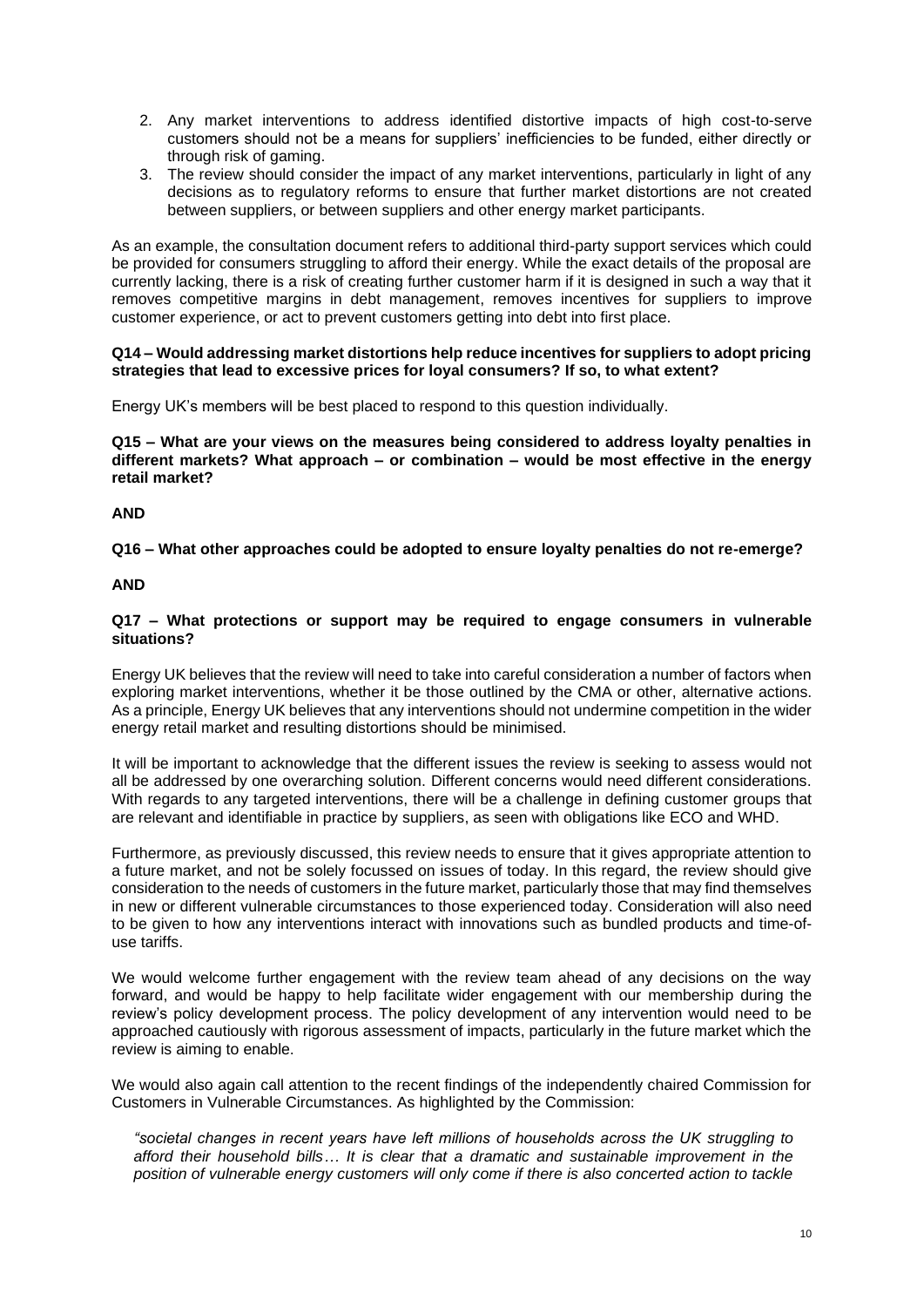- 2. Any market interventions to address identified distortive impacts of high cost-to-serve customers should not be a means for suppliers' inefficiencies to be funded, either directly or through risk of gaming.
- 3. The review should consider the impact of any market interventions, particularly in light of any decisions as to regulatory reforms to ensure that further market distortions are not created between suppliers, or between suppliers and other energy market participants.

As an example, the consultation document refers to additional third-party support services which could be provided for consumers struggling to afford their energy. While the exact details of the proposal are currently lacking, there is a risk of creating further customer harm if it is designed in such a way that it removes competitive margins in debt management, removes incentives for suppliers to improve customer experience, or act to prevent customers getting into debt into first place.

### **Q14 – Would addressing market distortions help reduce incentives for suppliers to adopt pricing strategies that lead to excessive prices for loyal consumers? If so, to what extent?**

Energy UK's members will be best placed to respond to this question individually.

**Q15 – What are your views on the measures being considered to address loyalty penalties in different markets? What approach – or combination – would be most effective in the energy retail market?**

### **AND**

**Q16 – What other approaches could be adopted to ensure loyalty penalties do not re-emerge?**

### **AND**

### **Q17 – What protections or support may be required to engage consumers in vulnerable situations?**

Energy UK believes that the review will need to take into careful consideration a number of factors when exploring market interventions, whether it be those outlined by the CMA or other, alternative actions. As a principle, Energy UK believes that any interventions should not undermine competition in the wider energy retail market and resulting distortions should be minimised.

It will be important to acknowledge that the different issues the review is seeking to assess would not all be addressed by one overarching solution. Different concerns would need different considerations. With regards to any targeted interventions, there will be a challenge in defining customer groups that are relevant and identifiable in practice by suppliers, as seen with obligations like ECO and WHD.

Furthermore, as previously discussed, this review needs to ensure that it gives appropriate attention to a future market, and not be solely focussed on issues of today. In this regard, the review should give consideration to the needs of customers in the future market, particularly those that may find themselves in new or different vulnerable circumstances to those experienced today. Consideration will also need to be given to how any interventions interact with innovations such as bundled products and time-ofuse tariffs.

We would welcome further engagement with the review team ahead of any decisions on the way forward, and would be happy to help facilitate wider engagement with our membership during the review's policy development process. The policy development of any intervention would need to be approached cautiously with rigorous assessment of impacts, particularly in the future market which the review is aiming to enable.

We would also again call attention to the recent findings of the independently chaired Commission for Customers in Vulnerable Circumstances. As highlighted by the Commission:

*"societal changes in recent years have left millions of households across the UK struggling to afford their household bills… It is clear that a dramatic and sustainable improvement in the position of vulnerable energy customers will only come if there is also concerted action to tackle*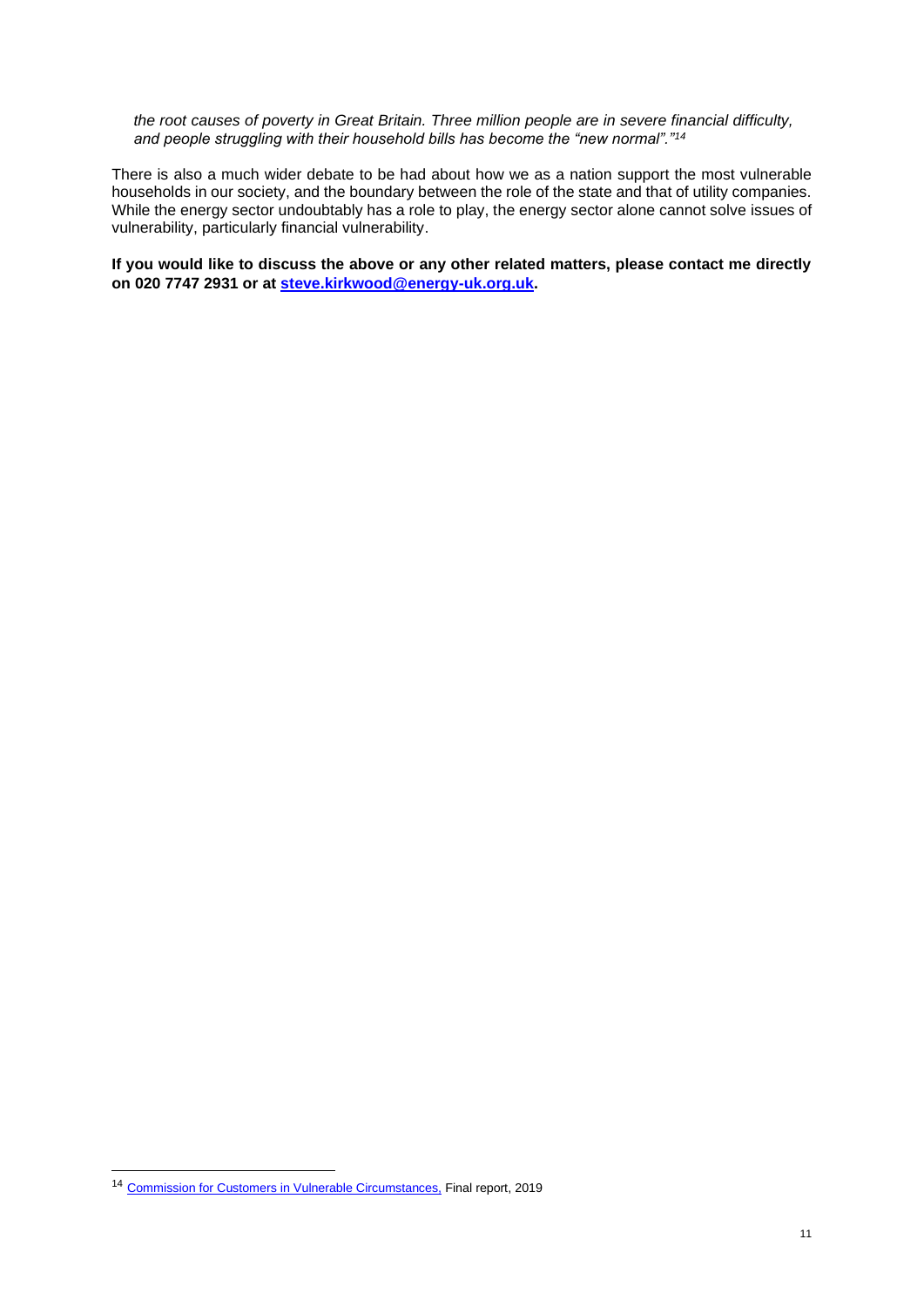*the root causes of poverty in Great Britain. Three million people are in severe financial difficulty, and people struggling with their household bills has become the "new normal"."<sup>14</sup>*

There is also a much wider debate to be had about how we as a nation support the most vulnerable households in our society, and the boundary between the role of the state and that of utility companies. While the energy sector undoubtably has a role to play, the energy sector alone cannot solve issues of vulnerability, particularly financial vulnerability.

**If you would like to discuss the above or any other related matters, please contact me directly on 020 7747 2931 or at [steve.kirkwood@energy-uk.org.uk.](mailto:steve.kirkwood@energy-uk.org.uk)** 

<sup>14</sup> [Commission for Customers in](https://www.energy-uk.org.uk/publication.html?task=file.download&id=7140) Vulnerable Circumstances, Final report, 2019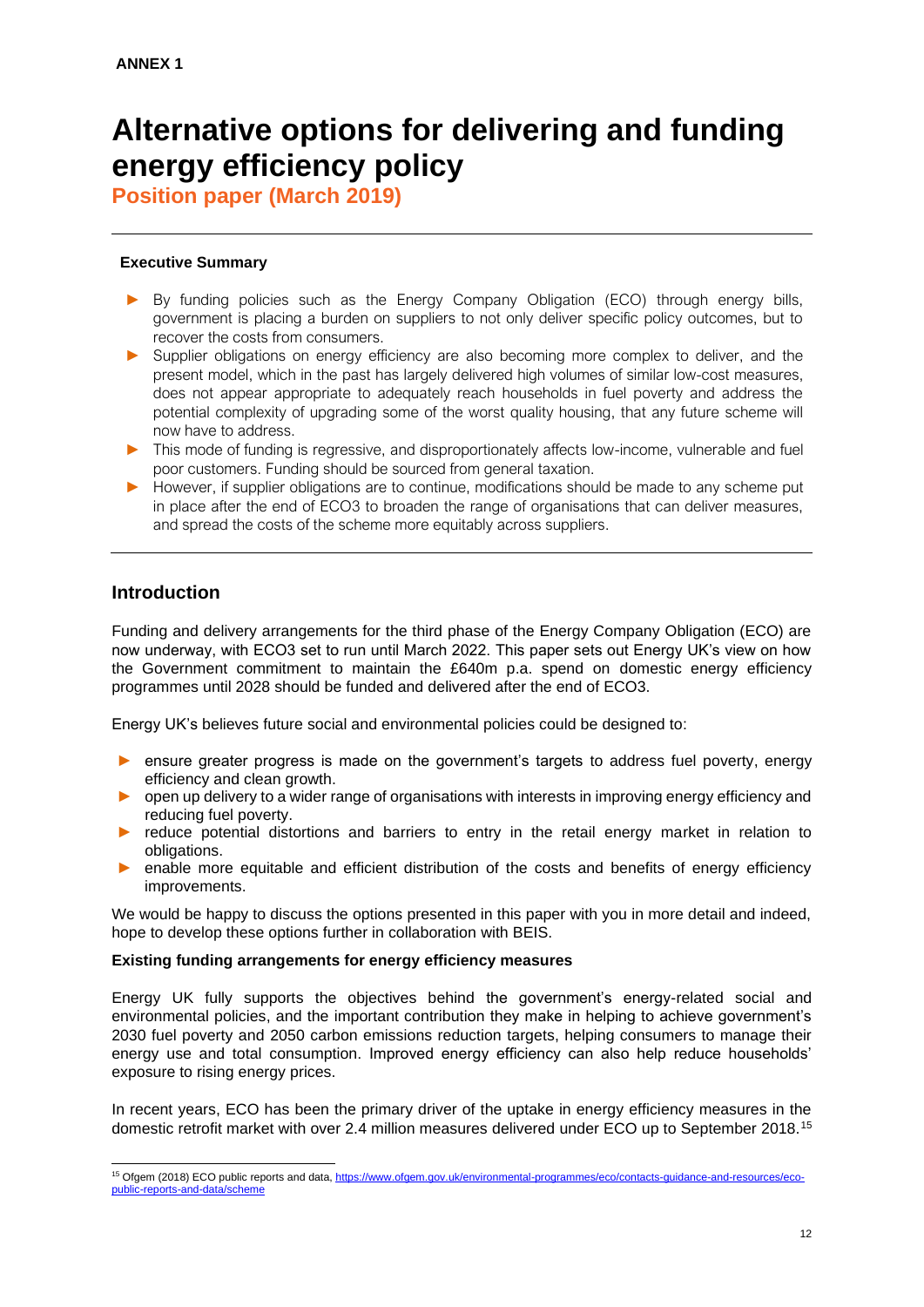# **Alternative options for delivering and funding energy efficiency policy**

**Position paper (March 2019)**

## **Executive Summary**

- ► By funding policies such as the Energy Company Obligation (ECO) through energy bills, government is placing a burden on suppliers to not only deliver specific policy outcomes, but to recover the costs from consumers.
- ► Supplier obligations on energy efficiency are also becoming more complex to deliver, and the present model, which in the past has largely delivered high volumes of similar low-cost measures, does not appear appropriate to adequately reach households in fuel poverty and address the potential complexity of upgrading some of the worst quality housing, that any future scheme will now have to address.
- ► This mode of funding is regressive, and disproportionately affects low-income, vulnerable and fuel poor customers. Funding should be sourced from general taxation.
- ► However, if supplier obligations are to continue, modifications should be made to any scheme put in place after the end of ECO3 to broaden the range of organisations that can deliver measures, and spread the costs of the scheme more equitably across suppliers.

## **Introduction**

Funding and delivery arrangements for the third phase of the Energy Company Obligation (ECO) are now underway, with ECO3 set to run until March 2022. This paper sets out Energy UK's view on how the Government commitment to maintain the £640m p.a. spend on domestic energy efficiency programmes until 2028 should be funded and delivered after the end of ECO3.

Energy UK's believes future social and environmental policies could be designed to:

- ensure greater progress is made on the government's targets to address fuel poverty, energy efficiency and clean growth.
- ► open up delivery to a wider range of organisations with interests in improving energy efficiency and reducing fuel poverty.
- reduce potential distortions and barriers to entry in the retail energy market in relation to obligations.
- enable more equitable and efficient distribution of the costs and benefits of energy efficiency improvements.

We would be happy to discuss the options presented in this paper with you in more detail and indeed, hope to develop these options further in collaboration with BEIS.

### **Existing funding arrangements for energy efficiency measures**

Energy UK fully supports the objectives behind the government's energy-related social and environmental policies, and the important contribution they make in helping to achieve government's 2030 fuel poverty and 2050 carbon emissions reduction targets, helping consumers to manage their energy use and total consumption. Improved energy efficiency can also help reduce households' exposure to rising energy prices.

In recent years, ECO has been the primary driver of the uptake in energy efficiency measures in the domestic retrofit market with over 2.4 million measures delivered under ECO up to September 2018.<sup>15</sup>

<sup>&</sup>lt;sup>15</sup> Ofgem (2018) ECO public reports and data[, https://www.ofgem.gov.uk/environmental-programmes/eco/contacts-guidance-and-resources/eco](https://www.ofgem.gov.uk/environmental-programmes/eco/contacts-guidance-and-resources/eco-public-reports-and-data/scheme)[public-reports-and-data/scheme](https://www.ofgem.gov.uk/environmental-programmes/eco/contacts-guidance-and-resources/eco-public-reports-and-data/scheme)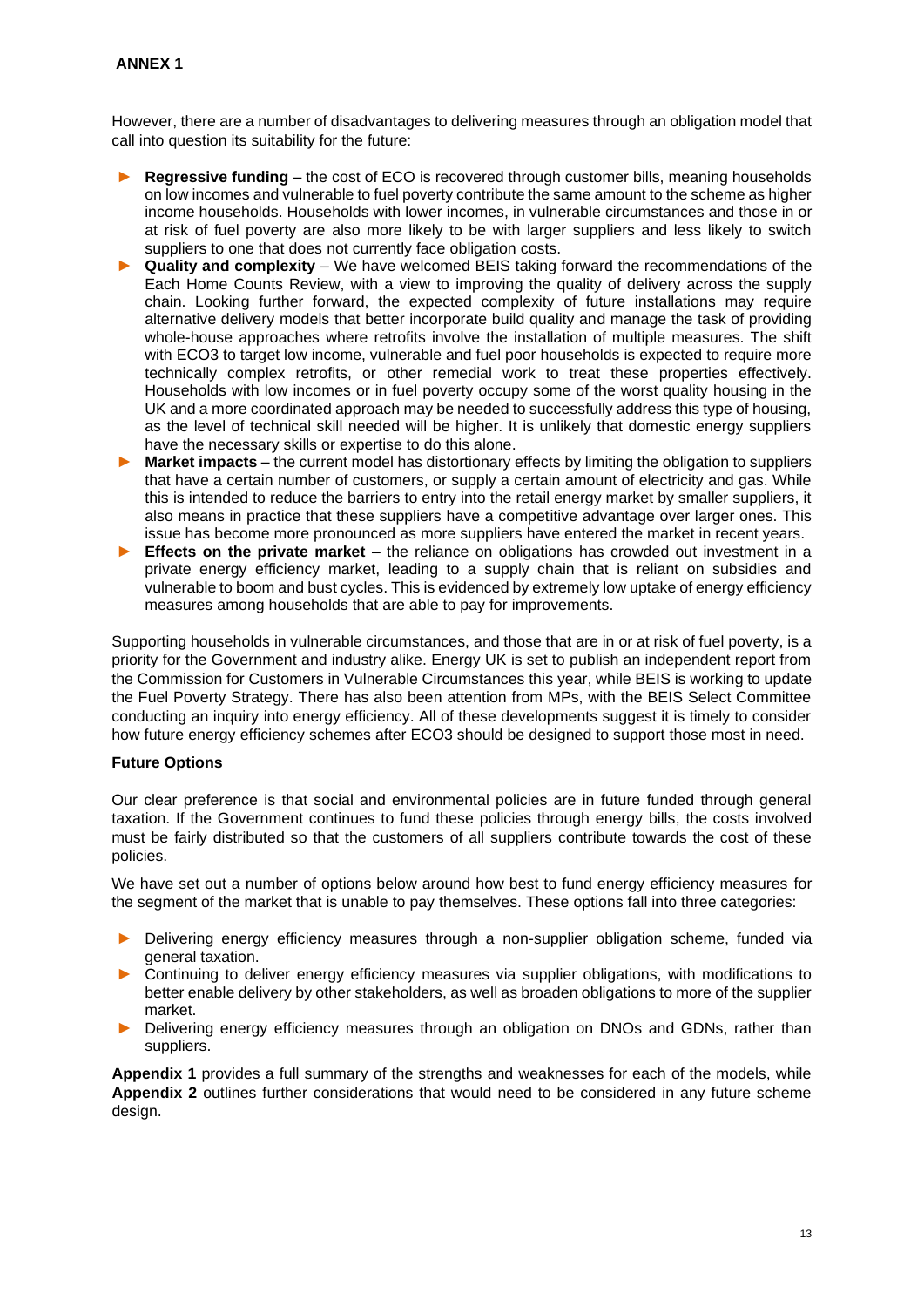### **ANNEX 1**

However, there are a number of disadvantages to delivering measures through an obligation model that call into question its suitability for the future:

- **Regressive funding** the cost of ECO is recovered through customer bills, meaning households on low incomes and vulnerable to fuel poverty contribute the same amount to the scheme as higher income households. Households with lower incomes, in vulnerable circumstances and those in or at risk of fuel poverty are also more likely to be with larger suppliers and less likely to switch suppliers to one that does not currently face obligation costs.
- ► **Quality and complexity** We have welcomed BEIS taking forward the recommendations of the Each Home Counts Review, with a view to improving the quality of delivery across the supply chain. Looking further forward, the expected complexity of future installations may require alternative delivery models that better incorporate build quality and manage the task of providing whole-house approaches where retrofits involve the installation of multiple measures. The shift with ECO3 to target low income, vulnerable and fuel poor households is expected to require more technically complex retrofits, or other remedial work to treat these properties effectively. Households with low incomes or in fuel poverty occupy some of the worst quality housing in the UK and a more coordinated approach may be needed to successfully address this type of housing, as the level of technical skill needed will be higher. It is unlikely that domestic energy suppliers have the necessary skills or expertise to do this alone.
- ► **Market impacts** the current model has distortionary effects by limiting the obligation to suppliers that have a certain number of customers, or supply a certain amount of electricity and gas. While this is intended to reduce the barriers to entry into the retail energy market by smaller suppliers, it also means in practice that these suppliers have a competitive advantage over larger ones. This issue has become more pronounced as more suppliers have entered the market in recent years.
- ► **Effects on the private market** the reliance on obligations has crowded out investment in a private energy efficiency market, leading to a supply chain that is reliant on subsidies and vulnerable to boom and bust cycles. This is evidenced by extremely low uptake of energy efficiency measures among households that are able to pay for improvements.

Supporting households in vulnerable circumstances, and those that are in or at risk of fuel poverty, is a priority for the Government and industry alike. Energy UK is set to publish an independent report from the Commission for Customers in Vulnerable Circumstances this year, while BEIS is working to update the Fuel Poverty Strategy. There has also been attention from MPs, with the BEIS Select Committee conducting an inquiry into energy efficiency. All of these developments suggest it is timely to consider how future energy efficiency schemes after ECO3 should be designed to support those most in need.

### **Future Options**

Our clear preference is that social and environmental policies are in future funded through general taxation. If the Government continues to fund these policies through energy bills, the costs involved must be fairly distributed so that the customers of all suppliers contribute towards the cost of these policies.

We have set out a number of options below around how best to fund energy efficiency measures for the segment of the market that is unable to pay themselves. These options fall into three categories:

- Delivering energy efficiency measures through a non-supplier obligation scheme, funded via general taxation.
- Continuing to deliver energy efficiency measures via supplier obligations, with modifications to better enable delivery by other stakeholders, as well as broaden obligations to more of the supplier market.
- Delivering energy efficiency measures through an obligation on DNOs and GDNs, rather than suppliers.

**Appendix 1** provides a full summary of the strengths and weaknesses for each of the models, while **Appendix 2** outlines further considerations that would need to be considered in any future scheme design.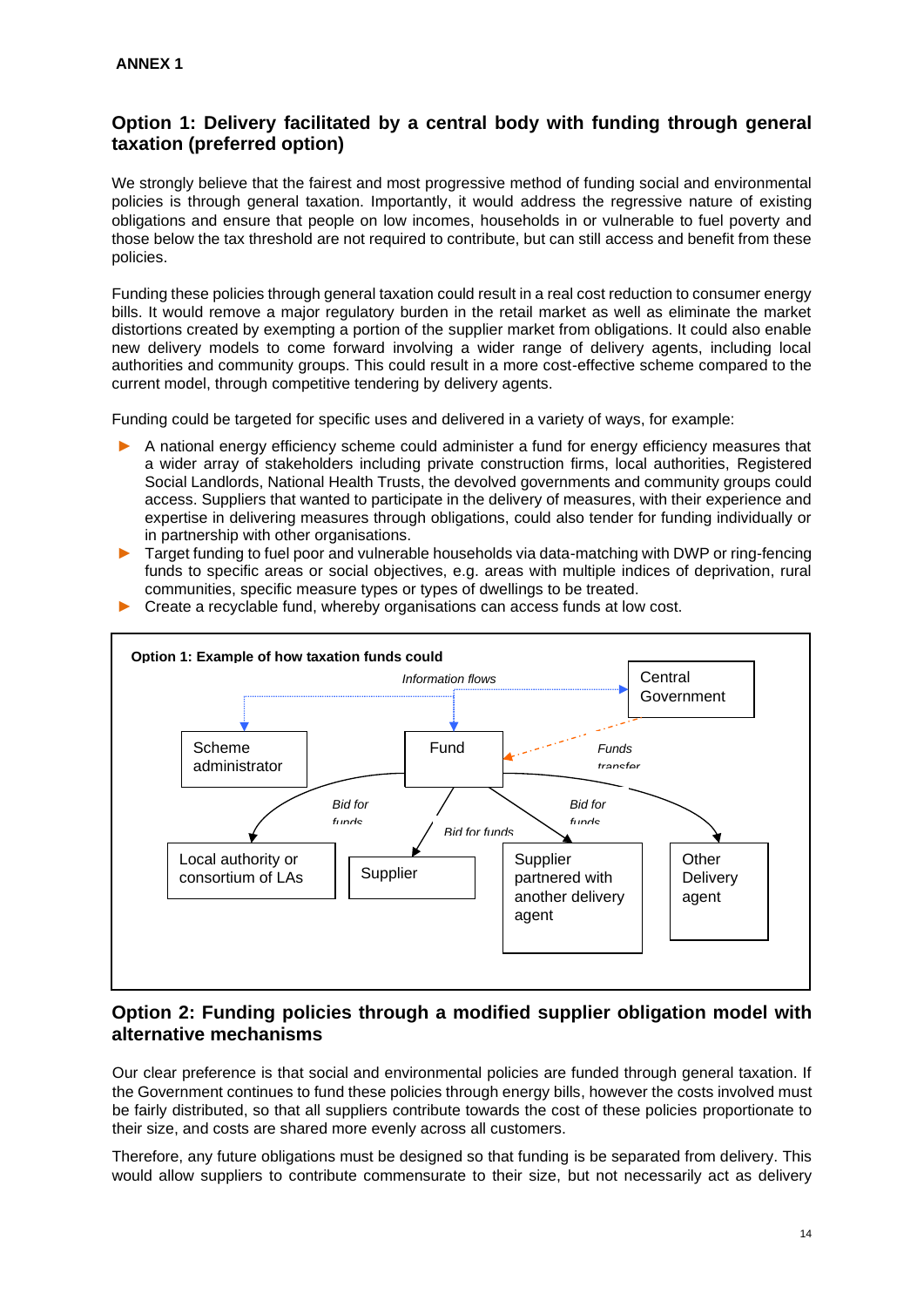## **Option 1: Delivery facilitated by a central body with funding through general taxation (preferred option)**

We strongly believe that the fairest and most progressive method of funding social and environmental policies is through general taxation. Importantly, it would address the regressive nature of existing obligations and ensure that people on low incomes, households in or vulnerable to fuel poverty and those below the tax threshold are not required to contribute, but can still access and benefit from these policies.

Funding these policies through general taxation could result in a real cost reduction to consumer energy bills. It would remove a major regulatory burden in the retail market as well as eliminate the market distortions created by exempting a portion of the supplier market from obligations. It could also enable new delivery models to come forward involving a wider range of delivery agents, including local authorities and community groups. This could result in a more cost-effective scheme compared to the current model, through competitive tendering by delivery agents.

Funding could be targeted for specific uses and delivered in a variety of ways, for example:

- ► A national energy efficiency scheme could administer a fund for energy efficiency measures that a wider array of stakeholders including private construction firms, local authorities, Registered Social Landlords, National Health Trusts, the devolved governments and community groups could access. Suppliers that wanted to participate in the delivery of measures, with their experience and expertise in delivering measures through obligations, could also tender for funding individually or in partnership with other organisations.
- ► Target funding to fuel poor and vulnerable households via data-matching with DWP or ring-fencing funds to specific areas or social objectives, e.g. areas with multiple indices of deprivation, rural communities, specific measure types or types of dwellings to be treated.



► Create a recyclable fund, whereby organisations can access funds at low cost.

## **Option 2: Funding policies through a modified supplier obligation model with alternative mechanisms**

Our clear preference is that social and environmental policies are funded through general taxation. If the Government continues to fund these policies through energy bills, however the costs involved must be fairly distributed, so that all suppliers contribute towards the cost of these policies proportionate to their size, and costs are shared more evenly across all customers.

Therefore, any future obligations must be designed so that funding is be separated from delivery. This would allow suppliers to contribute commensurate to their size, but not necessarily act as delivery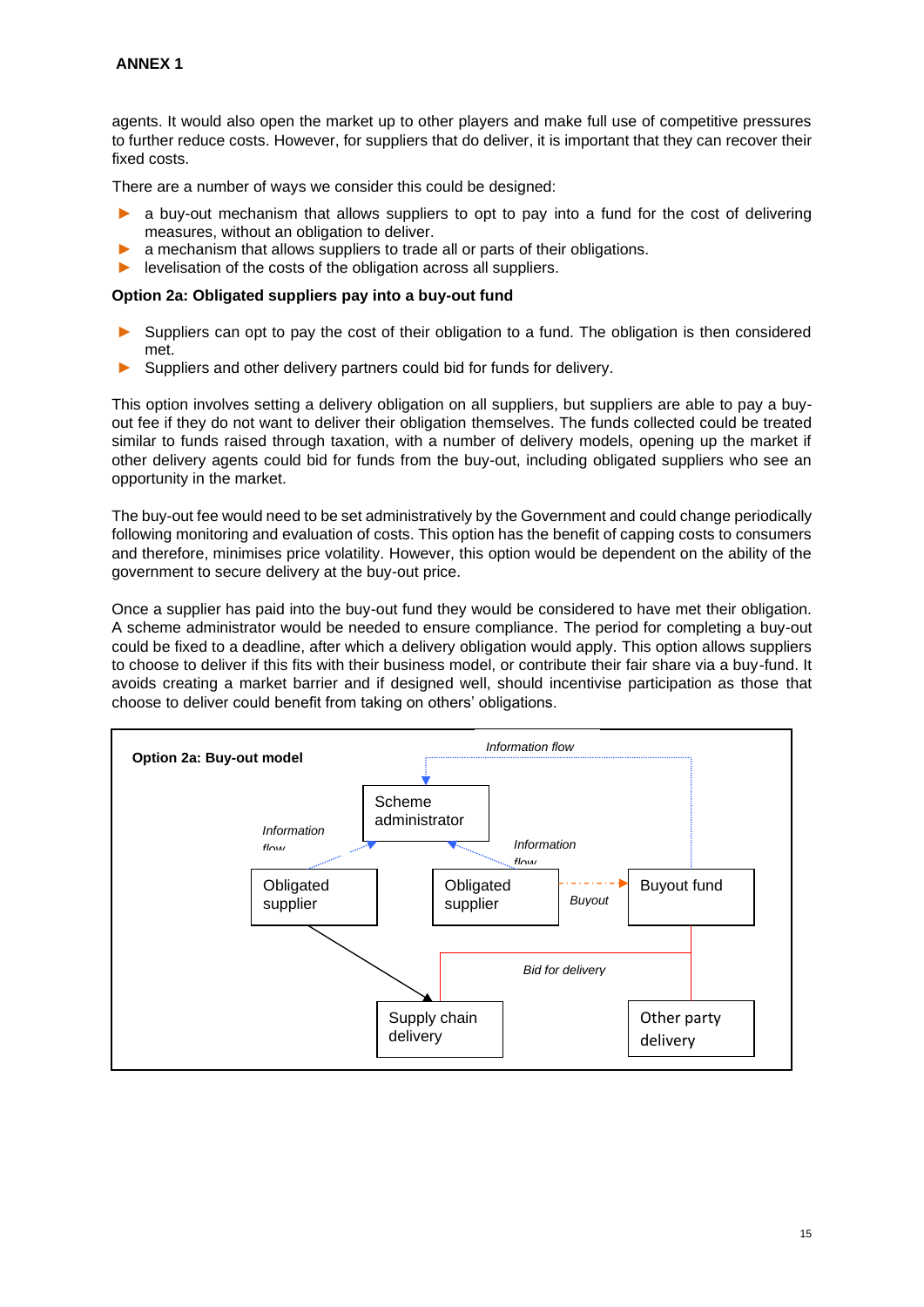agents. It would also open the market up to other players and make full use of competitive pressures to further reduce costs. However, for suppliers that do deliver, it is important that they can recover their fixed costs.

There are a number of ways we consider this could be designed:

- a buv-out mechanism that allows suppliers to opt to pay into a fund for the cost of delivering measures, without an obligation to deliver.
- a mechanism that allows suppliers to trade all or parts of their obligations.
- ► levelisation of the costs of the obligation across all suppliers.

#### **Option 2a: Obligated suppliers pay into a buy-out fund**

- Suppliers can opt to pay the cost of their obligation to a fund. The obligation is then considered met.
- Suppliers and other delivery partners could bid for funds for delivery.

This option involves setting a delivery obligation on all suppliers, but suppliers are able to pay a buyout fee if they do not want to deliver their obligation themselves. The funds collected could be treated similar to funds raised through taxation, with a number of delivery models, opening up the market if other delivery agents could bid for funds from the buy-out, including obligated suppliers who see an opportunity in the market.

The buy-out fee would need to be set administratively by the Government and could change periodically following monitoring and evaluation of costs. This option has the benefit of capping costs to consumers and therefore, minimises price volatility. However, this option would be dependent on the ability of the government to secure delivery at the buy-out price.

Once a supplier has paid into the buy-out fund they would be considered to have met their obligation. A scheme administrator would be needed to ensure compliance. The period for completing a buy-out could be fixed to a deadline, after which a delivery obligation would apply. This option allows suppliers to choose to deliver if this fits with their business model, or contribute their fair share via a buy-fund. It avoids creating a market barrier and if designed well, should incentivise participation as those that choose to deliver could benefit from taking on others' obligations.

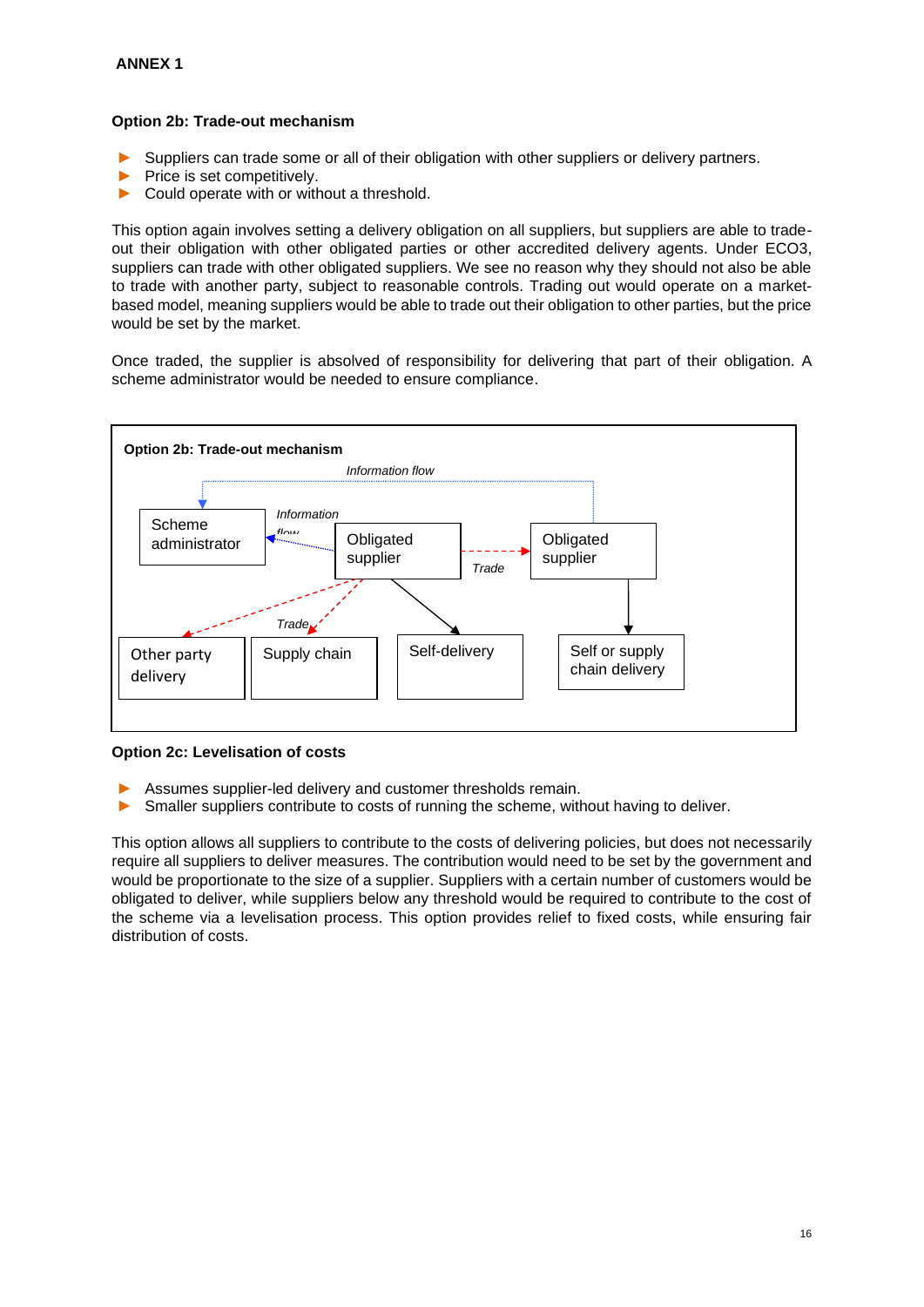### **Option 2b: Trade-out mechanism**

- Suppliers can trade some or all of their obligation with other suppliers or delivery partners.
- Price is set competitively.
- ► Could operate with or without a threshold.

This option again involves setting a delivery obligation on all suppliers, but suppliers are able to tradeout their obligation with other obligated parties or other accredited delivery agents. Under ECO3, suppliers can trade with other obligated suppliers. We see no reason why they should not also be able to trade with another party, subject to reasonable controls. Trading out would operate on a marketbased model, meaning suppliers would be able to trade out their obligation to other parties, but the price would be set by the market.

Once traded, the supplier is absolved of responsibility for delivering that part of their obligation. A scheme administrator would be needed to ensure compliance.



**Option 2c: Levelisation of costs**

- Assumes supplier-led delivery and customer thresholds remain.
- ► Smaller suppliers contribute to costs of running the scheme, without having to deliver.

This option allows all suppliers to contribute to the costs of delivering policies, but does not necessarily require all suppliers to deliver measures. The contribution would need to be set by the government and would be proportionate to the size of a supplier. Suppliers with a certain number of customers would be obligated to deliver, while suppliers below any threshold would be required to contribute to the cost of the scheme via a levelisation process. This option provides relief to fixed costs, while ensuring fair distribution of costs.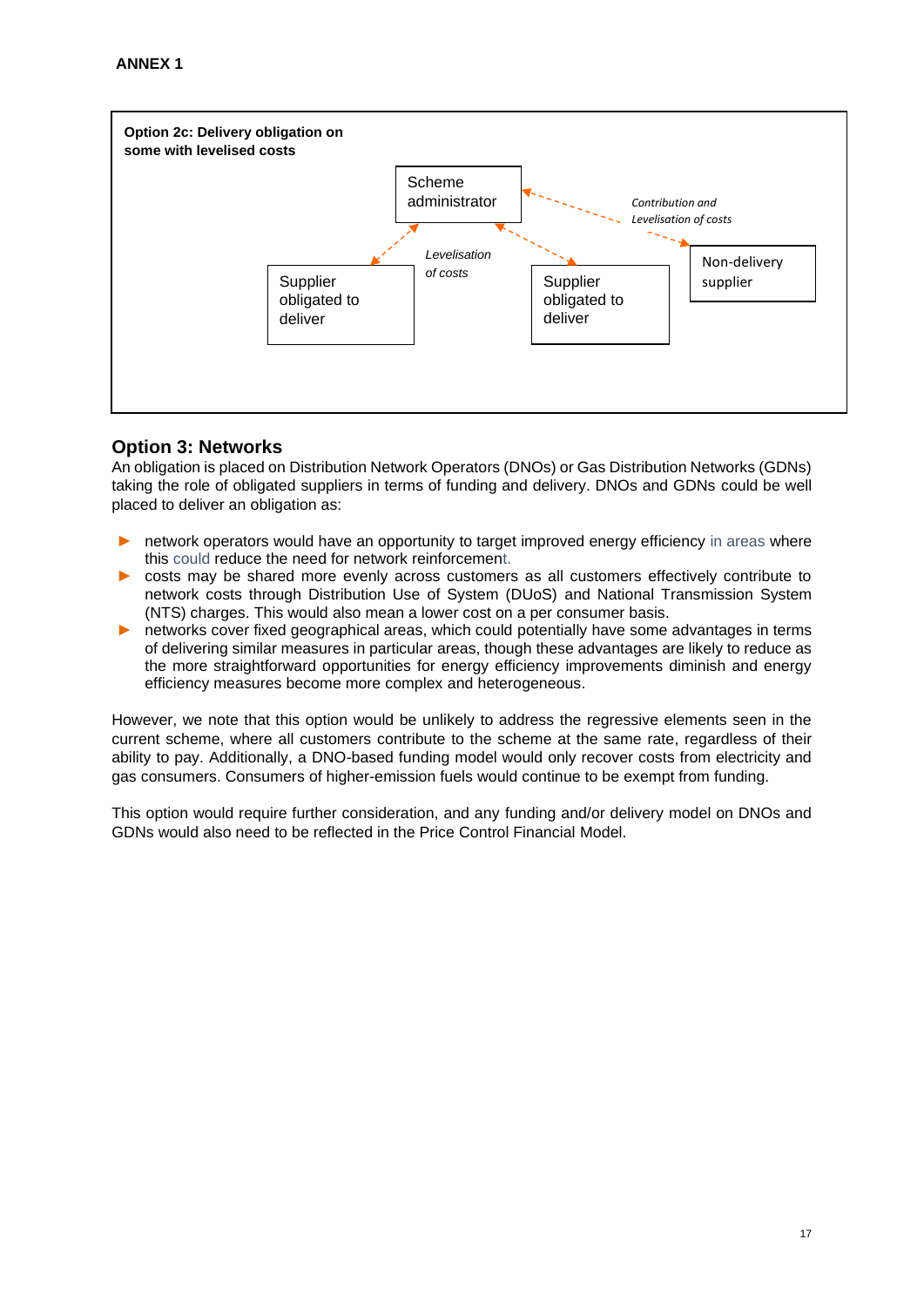

## **Option 3: Networks**

An obligation is placed on Distribution Network Operators (DNOs) or Gas Distribution Networks (GDNs) taking the role of obligated suppliers in terms of funding and delivery. DNOs and GDNs could be well placed to deliver an obligation as:

- network operators would have an opportunity to target improved energy efficiency in areas where this could reduce the need for network reinforcement.
- costs may be shared more evenly across customers as all customers effectively contribute to network costs through Distribution Use of System (DUoS) and National Transmission System (NTS) charges. This would also mean a lower cost on a per consumer basis.
- networks cover fixed geographical areas, which could potentially have some advantages in terms of delivering similar measures in particular areas, though these advantages are likely to reduce as the more straightforward opportunities for energy efficiency improvements diminish and energy efficiency measures become more complex and heterogeneous.

However, we note that this option would be unlikely to address the regressive elements seen in the current scheme, where all customers contribute to the scheme at the same rate, regardless of their ability to pay. Additionally, a DNO-based funding model would only recover costs from electricity and gas consumers. Consumers of higher-emission fuels would continue to be exempt from funding.

This option would require further consideration, and any funding and/or delivery model on DNOs and GDNs would also need to be reflected in the Price Control Financial Model.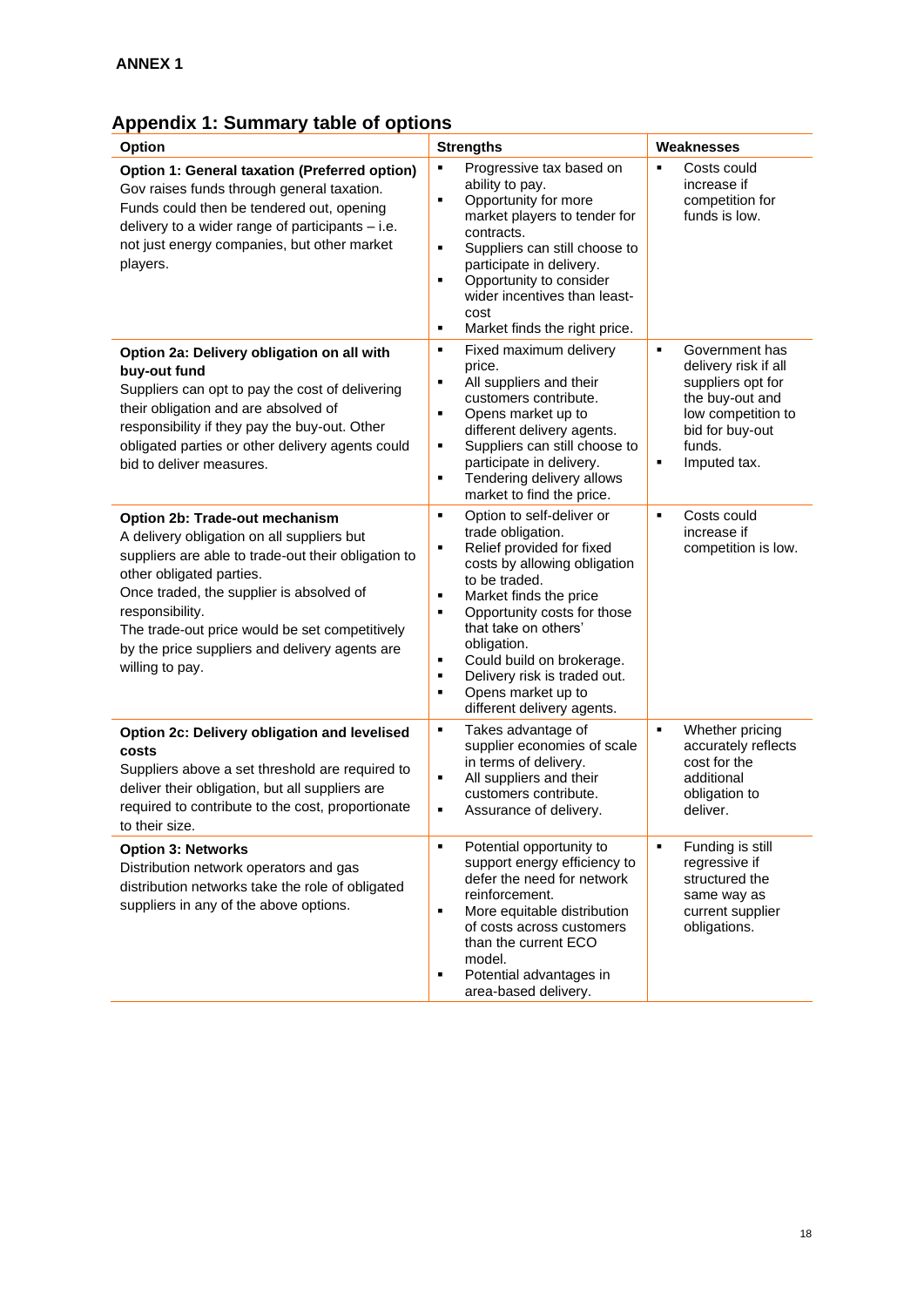# **Appendix 1: Summary table of options**

| Option                                                                                                                                                                                                                                                                                                                                                | <b>Strengths</b>                                                                                                                                                                                                                                                                                                                                                                                           | Weaknesses                                                                                                                                                                            |
|-------------------------------------------------------------------------------------------------------------------------------------------------------------------------------------------------------------------------------------------------------------------------------------------------------------------------------------------------------|------------------------------------------------------------------------------------------------------------------------------------------------------------------------------------------------------------------------------------------------------------------------------------------------------------------------------------------------------------------------------------------------------------|---------------------------------------------------------------------------------------------------------------------------------------------------------------------------------------|
| Option 1: General taxation (Preferred option)<br>Gov raises funds through general taxation.<br>Funds could then be tendered out, opening<br>delivery to a wider range of participants $-$ i.e.<br>not just energy companies, but other market<br>players.                                                                                             | ٠<br>Progressive tax based on<br>ability to pay.<br>$\blacksquare$<br>Opportunity for more<br>market players to tender for<br>contracts.<br>$\blacksquare$<br>Suppliers can still choose to<br>participate in delivery.<br>Opportunity to consider<br>٠<br>wider incentives than least-<br>cost<br>Market finds the right price.<br>٠                                                                      | $\blacksquare$<br>Costs could<br>increase if<br>competition for<br>funds is low.                                                                                                      |
| Option 2a: Delivery obligation on all with<br>buy-out fund<br>Suppliers can opt to pay the cost of delivering<br>their obligation and are absolved of<br>responsibility if they pay the buy-out. Other<br>obligated parties or other delivery agents could<br>bid to deliver measures.                                                                | Fixed maximum delivery<br>٠<br>price.<br>All suppliers and their<br>٠<br>customers contribute.<br>٠<br>Opens market up to<br>different delivery agents.<br>$\blacksquare$<br>Suppliers can still choose to<br>participate in delivery.<br>Tendering delivery allows<br>٠<br>market to find the price.                                                                                                      | Government has<br>$\blacksquare$<br>delivery risk if all<br>suppliers opt for<br>the buy-out and<br>low competition to<br>bid for buy-out<br>funds.<br>$\blacksquare$<br>Imputed tax. |
| Option 2b: Trade-out mechanism<br>A delivery obligation on all suppliers but<br>suppliers are able to trade-out their obligation to<br>other obligated parties.<br>Once traded, the supplier is absolved of<br>responsibility.<br>The trade-out price would be set competitively<br>by the price suppliers and delivery agents are<br>willing to pay. | Option to self-deliver or<br>٠<br>trade obligation.<br>Relief provided for fixed<br>٠<br>costs by allowing obligation<br>to be traded.<br>Market finds the price<br>٠<br>$\blacksquare$<br>Opportunity costs for those<br>that take on others'<br>obligation.<br>Could build on brokerage.<br>٠<br>$\blacksquare$<br>Delivery risk is traded out.<br>Opens market up to<br>٠<br>different delivery agents. | Costs could<br>$\blacksquare$<br>increase if<br>competition is low.                                                                                                                   |
| Option 2c: Delivery obligation and levelised<br>costs<br>Suppliers above a set threshold are required to<br>deliver their obligation, but all suppliers are<br>required to contribute to the cost, proportionate<br>to their size.                                                                                                                    | ٠<br>Takes advantage of<br>supplier economies of scale<br>in terms of delivery.<br>$\blacksquare$<br>All suppliers and their<br>customers contribute.<br>٠<br>Assurance of delivery.                                                                                                                                                                                                                       | $\blacksquare$<br>Whether pricing<br>accurately reflects<br>cost for the<br>additional<br>obligation to<br>deliver.                                                                   |
| <b>Option 3: Networks</b><br>Distribution network operators and gas<br>distribution networks take the role of obligated<br>suppliers in any of the above options.                                                                                                                                                                                     | Potential opportunity to<br>٠<br>support energy efficiency to<br>defer the need for network<br>reinforcement.<br>٠<br>More equitable distribution<br>of costs across customers<br>than the current ECO<br>model.<br>$\blacksquare$<br>Potential advantages in<br>area-based delivery.                                                                                                                      | Funding is still<br>$\blacksquare$<br>regressive if<br>structured the<br>same way as<br>current supplier<br>obligations.                                                              |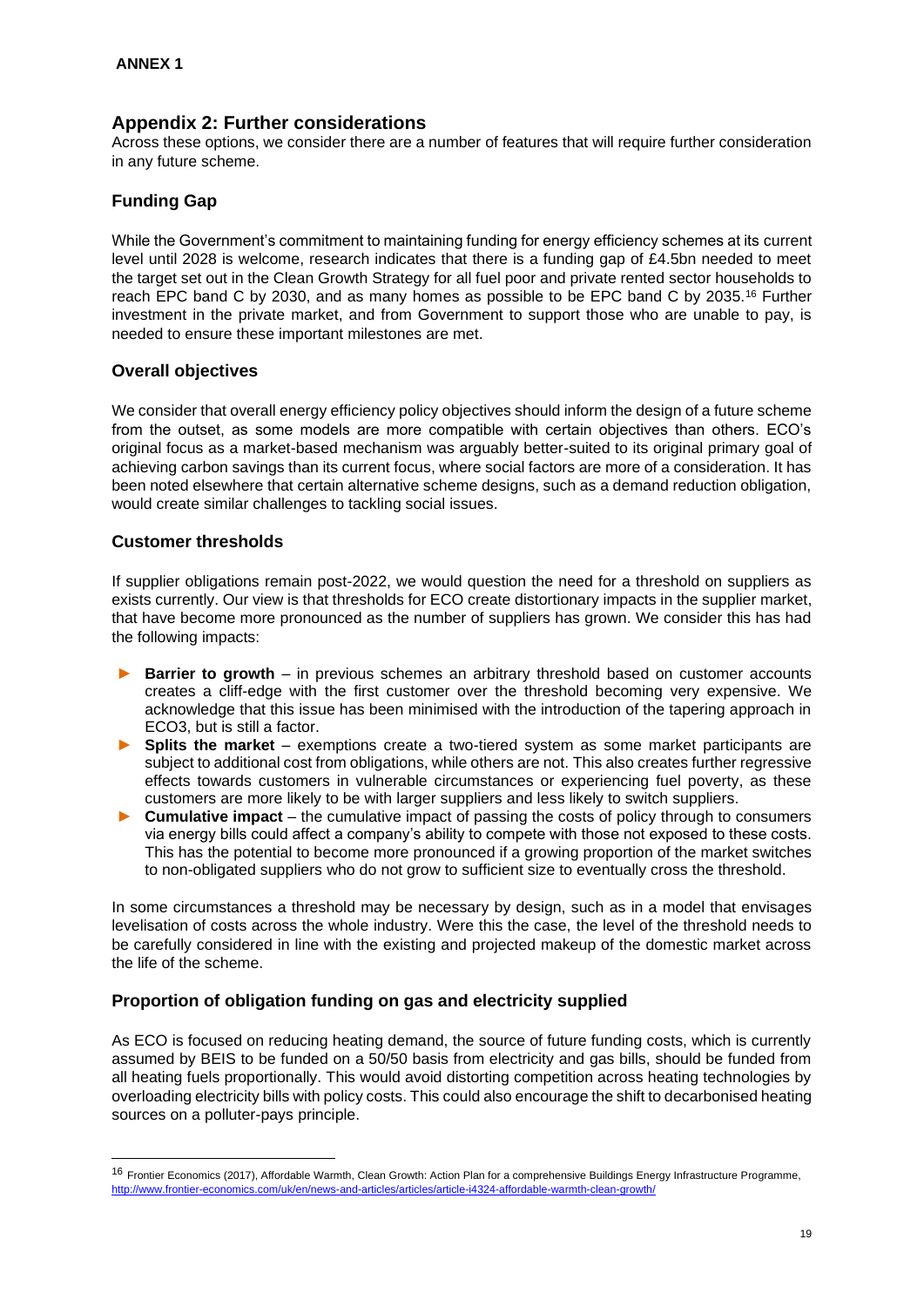## **Appendix 2: Further considerations**

Across these options, we consider there are a number of features that will require further consideration in any future scheme.

## **Funding Gap**

While the Government's commitment to maintaining funding for energy efficiency schemes at its current level until 2028 is welcome, research indicates that there is a funding gap of £4.5bn needed to meet the target set out in the Clean Growth Strategy for all fuel poor and private rented sector households to reach EPC band C by 2030, and as many homes as possible to be EPC band C by 2035.<sup>16</sup> Further investment in the private market, and from Government to support those who are unable to pay, is needed to ensure these important milestones are met.

## **Overall objectives**

We consider that overall energy efficiency policy objectives should inform the design of a future scheme from the outset, as some models are more compatible with certain objectives than others. ECO's original focus as a market-based mechanism was arguably better-suited to its original primary goal of achieving carbon savings than its current focus, where social factors are more of a consideration. It has been noted elsewhere that certain alternative scheme designs, such as a demand reduction obligation, would create similar challenges to tackling social issues.

## **Customer thresholds**

If supplier obligations remain post-2022, we would question the need for a threshold on suppliers as exists currently. Our view is that thresholds for ECO create distortionary impacts in the supplier market, that have become more pronounced as the number of suppliers has grown. We consider this has had the following impacts:

- ► **Barrier to growth** in previous schemes an arbitrary threshold based on customer accounts creates a cliff-edge with the first customer over the threshold becoming very expensive. We acknowledge that this issue has been minimised with the introduction of the tapering approach in ECO3, but is still a factor.
- **Splits the market** exemptions create a two-tiered system as some market participants are subject to additional cost from obligations, while others are not. This also creates further regressive effects towards customers in vulnerable circumstances or experiencing fuel poverty, as these customers are more likely to be with larger suppliers and less likely to switch suppliers.
- ► **Cumulative impact**  the cumulative impact of passing the costs of policy through to consumers via energy bills could affect a company's ability to compete with those not exposed to these costs. This has the potential to become more pronounced if a growing proportion of the market switches to non-obligated suppliers who do not grow to sufficient size to eventually cross the threshold.

In some circumstances a threshold may be necessary by design, such as in a model that envisages levelisation of costs across the whole industry. Were this the case, the level of the threshold needs to be carefully considered in line with the existing and projected makeup of the domestic market across the life of the scheme.

## **Proportion of obligation funding on gas and electricity supplied**

As ECO is focused on reducing heating demand, the source of future funding costs, which is currently assumed by BEIS to be funded on a 50/50 basis from electricity and gas bills, should be funded from all heating fuels proportionally. This would avoid distorting competition across heating technologies by overloading electricity bills with policy costs. This could also encourage the shift to decarbonised heating sources on a polluter-pays principle.

<sup>&</sup>lt;sup>16</sup> Frontier Economics (2017), Affordable Warmth, Clean Growth: Action Plan for a comprehensive Buildings Energy Infrastructure Programme, <http://www.frontier-economics.com/uk/en/news-and-articles/articles/article-i4324-affordable-warmth-clean-growth/>